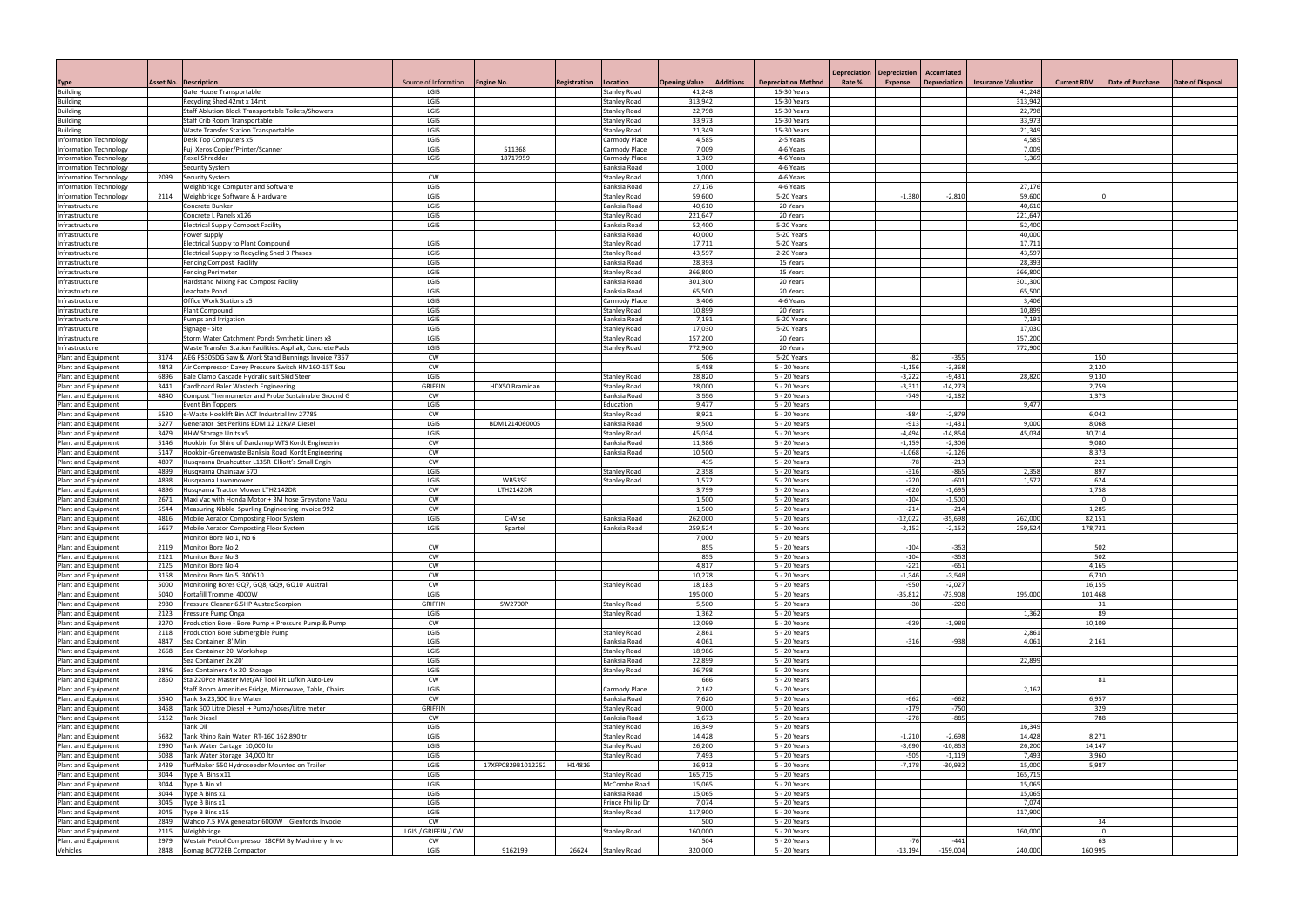| Depreciation<br>Source of Informtion   Engine No.<br><b>Opening Value</b><br>Additions<br><b>Depreciation Method</b><br>Rate %<br><b>Expense</b><br><b>Depreciation</b><br><b>Insurance Valuation</b><br><b>Current RDV</b><br>Date of Purchase<br>Date of Disposal<br><b>Asset No. Description</b><br>Registration<br>Location<br>Type<br><b>Building</b><br>Gate House Transportable<br>LGIS<br><b>Stanley Road</b><br>41,248<br>15-30 Years<br>41,248<br>LGIS<br>313,942<br>15-30 Years<br>Recycling Shed 42mt x 14mt<br><b>Stanley Road</b><br>313,942<br>LGIS<br>22,798<br>15-30 Years<br>Staff Ablution Block Transportable Toilets/Showers<br><b>Stanley Road</b><br>22,798<br>33,97<br>Staff Crib Room Transportable<br>LGIS<br>15-30 Years<br>33,973<br>Building<br>Stanley Road<br>21,349<br>Waste Transfer Station Transportable<br>LGIS<br>15-30 Years<br>21,349<br><b>Building</b><br>Stanley Road<br>4,585<br>Desk Top Computers x5<br>LGIS<br>2-5 Years<br>4,585<br>Carmody Place<br>7,009<br>LGIS<br>511368<br>4-6 Years<br>7,009<br>Fuji Xeros Copier/Printer/Scanner<br>Carmody Place<br>LGIS<br>18717959<br>1,369<br>1,369<br>4-6 Years<br>Rexel Shredder<br>Carmody Place<br>1,000<br>Information Technology<br>4-6 Years<br>Security System<br>Banksia Road<br>1,000<br>Information Technology<br>2099<br><b>Security System</b><br><b>CW</b><br>4-6 Years<br><b>Stanley Road</b><br>27,176<br>LGIS<br>Banksia Road<br>4-6 Years<br>27,176<br>Weighbridge Computer and Software<br>59,600<br>5-20 Years<br>59,600<br>2114 Weighbridge Software & Hardware<br>LGIS<br>$-1,380$<br>$-2,810$<br><b>Stanley Road</b><br>40,61<br>20 Years<br>40,610<br>Concrete Bunker<br>LGIS<br>Banksia Road<br>Concrete L Panels x126<br>LGIS<br>221,647<br>20 Years<br>221,647<br>Infrastructure<br><b>Stanley Road</b><br>52,400<br>5-20 Years<br>LGIS<br>Banksia Road<br>52,400<br>Infrastructure<br><b>Electrical Supply Compost Facility</b><br>40,000<br>5-20 Years<br>40,000<br>Banksia Road<br>Infrastructure<br>Power supply<br>17,71<br>5-20 Years<br>17,711<br>LGIS<br><b>Stanley Road</b><br>Infrastructure<br>Electrical Supply to Plant Compound<br>43,597<br>43,597<br>Electrical Supply to Recycling Shed 3 Phases<br>LGIS<br><b>Stanley Road</b><br>2-20 Years<br>Infrastructure<br>28,393<br>15 Years<br>LGIS<br>Banksia Road<br>28,393<br>Infrastructure<br><b>Fencing Compost Facility</b><br>LGIS<br>366,800<br>15 Years<br>366,800<br>Infrastructure<br><b>Fencing Perimeter</b><br><b>Stanley Road</b><br>301,300<br>LGIS<br>20 Years<br>301,300<br>Hardstand Mixing Pad Compost Facility<br>Banksia Road<br>Infrastructure<br>65,500<br>Leachate Pond<br>LGIS<br>Banksia Road<br>20 Years<br>65,500<br>Infrastructure<br>3,406<br>Office Work Stations x5<br>LGIS<br>4-6 Years<br>3,406<br>Infrastructure<br>Carmody Place<br>10,899<br>LGIS<br>20 Years<br>10,899<br>Plant Compound<br><b>Stanley Road</b><br>Infrastructure<br>7,191<br>LGIS<br>Banksia Road<br>5-20 Years<br>7,191<br>Infrastructure<br>Pumps and Irrigation<br>17,030<br>5-20 Years<br>17,030<br>LGIS<br><b>Stanley Road</b><br>Infrastructure<br>Signage - Site<br>157,200<br>157,200<br>Storm Water Catchment Ponds Synthetic Liners x3<br>LGIS<br>20 Years<br>Infrastructure<br><b>Stanley Road</b><br>LGIS<br>772,900<br>20 Years<br>772,900<br>Infrastructure<br>Waste Transfer Station Facilities. Asphalt, Concrete Pads<br><b>Stanley Road</b><br>CW<br>506<br>5-20 Years<br>$-355$<br>$-82$<br>150<br>Plant and Equipment<br>3174<br>AEG PS305DG Saw & Work Stand Bunnings Invoice 7357<br>5,488<br>$-1,156$<br>$-3,368$<br>2,120<br>Air Compressor Davey Pressure Switch HM160-15T Sou<br><b>CW</b><br>5 - 20 Years<br>Plant and Equipment<br>4843<br>28,820<br>5 - 20 Years<br>$-3,222$<br>$-9,431$<br>28,820<br>Plant and Equipment<br>6896<br>Bale Clamp Cascade Hydralic suit Skid Steer<br>LGIS<br>9,130<br>Stanley Road<br><b>GRIFFIN</b><br>28,000<br>5 - 20 Years<br>$-3,311$<br>$-14,273$<br>2,759<br>Cardboard Baler Wastech Engineering<br>HDX50 Bramidan<br><b>Stanley Road</b><br>3441<br>3,556<br>5 - 20 Years<br>$-749$<br>$-2,182$<br>1,373<br>4840<br>Compost Thermometer and Probe Sustainable Ground G<br><b>CW</b><br>Banksia Road<br>LGIS<br>9,477<br>5 - 20 Years<br>9,477<br>Plant and Equipment<br>vent Bin Toppers<br>Education<br>8,921<br>Plant and Equipment<br>5530<br>e-Waste Hooklift Bin ACT Industrial Inv 27785<br><b>CW</b><br><b>Stanley Road</b><br>5 - 20 Years<br>$-884$<br>$-2,879$<br>6,042<br>$-913$<br>LGIS<br>9,500<br>$-1,431$<br>8,068<br>Plant and Equipment<br>5277<br>Generator Set Perkins BDM 12 12KVA Diesel<br>BDM1214060005<br>Banksia Road<br>5 - 20 Years<br>9,000<br>LGIS<br>45,034<br>$-4,494$<br>$-14,854$<br>45,034<br>30,714<br>5 - 20 Years<br>3479<br><b>HHW Storage Units x5</b><br><b>Stanley Road</b><br>CW<br>5 - 20 Years<br>$-1,159$<br>$-2,306$<br>9,080<br>Hookbin for Shire of Dardanup WTS Kordt Engineerin<br>11,386<br>5146<br>Banksia Road<br>10,500<br>$-1,068$<br>$-2,126$<br>8,373<br>5147<br>Hookbin-Greenwaste Banksia Road Kordt Engineering<br><b>CW</b><br>Banksia Road<br>5 - 20 Years<br>Plant and Equipment<br>435<br>5 - 20 Years<br>$-213$<br>221<br>Plant and Equipment<br>4897<br>Husqvarna Brushcutter L135R Elliott's Small Engin<br><b>CW</b><br>$-78$<br>2,358<br>$-865$<br>LGIS<br>5 - 20 Years<br>$-316$<br>897<br>4899<br>Husqvarna Chainsaw 570<br>2,358<br>Plant and Equipment<br><b>Stanley Road</b><br>1,572<br>$-220$<br>$-601$<br>1,572<br>624<br>4898<br>LGIS<br>WB53SE<br>5 - 20 Years<br>Husgvarna Lawnmower<br><b>Stanley Road</b><br>$-620$<br>3,799<br>$-1,695$<br>1,758<br>4896<br>Husqvarna Tractor Mower LTH2142DR<br>CW<br>LTH2142DR<br>5 - 20 Years<br>1,500<br>$-104$<br>$-1,500$<br>Plant and Equipment<br>Maxi Vac with Honda Motor + 3M hose Greystone Vacu<br><b>CW</b><br>5 - 20 Years<br>2671<br>CW<br>1,500<br>5 - 20 Years<br>$-214$<br>$-214$<br>Plant and Equipment<br>5544<br>Measuring Kibble Spurling Engineering Invoice 992<br>1,285<br>LGIS<br>262,000<br>$-12,022$<br>$-35,698$<br>262,000<br>82,151<br>Plant and Equipment<br>4816<br>Mobile Aerator Composting Floor System<br>C-Wise<br>Banksia Road<br>5 - 20 Years<br>LGIS<br>259,524<br>$-2,152$<br>178,731<br>Spartel<br>Banksia Road<br>5 - 20 Years<br>$-2,152$<br>259,524<br>5667<br>Mobile Aerator Composting Floor System<br>Monitor Bore No 1, No 6<br>7,000<br>5 - 20 Years<br>Plant and Equipment<br>855<br>2119 Monitor Bore No 2<br>5 - 20 Years<br>$-104$<br>$-353$<br>502<br><b>CW</b><br>855<br>$-104$<br>$-353$<br>502<br>Plant and Equipment<br><b>CW</b><br>5 - 20 Years<br>2121 Monitor Bore No 3<br>4,817<br>$-221$<br>$-651$<br>4,165<br>2125<br><b>CW</b><br>5 - 20 Years<br>Monitor Bore No 4<br>10,278<br>5 - 20 Years<br>$-1,346$<br>$-3,548$<br>6,730<br>3158<br>Monitor Bore No 5 300610<br><b>CW</b><br>$-950$<br>CW<br>18,183<br>$-2,027$<br>16,155<br>5000<br>Monitoring Bores GQ7, GQ8, GQ9, GQ10 Australi<br>5 - 20 Years<br><b>Stanley Road</b><br>LGIS<br>195,000<br>5 - 20 Years<br>$-35,812$<br>$-73,908$<br>101,468<br>5040<br>Portafill Trommel 4000W<br>195,000<br>Plant and Equipment<br><b>GRIFFIN</b><br>$-220$<br>2980<br>Pressure Cleaner 6.5HP Austec Scorpion<br>SW2700P<br>5,500<br>5 - 20 Years<br>Plant and Equipment<br><b>Stanley Road</b><br>-38<br>31<br>1,362<br>5 - 20 Years<br>2123<br>LGIS<br>1,362<br>89<br>Pressure Pump Onga<br>Stanley Road<br>12,099<br>3270<br>Production Bore - Bore Pump + Pressure Pump & Pump<br><b>CW</b><br>5 - 20 Years<br>$-639$<br>$-1,989$<br>10,109<br>LGIS<br>2,861<br>2118<br>5 - 20 Years<br>Production Bore Submergible Pump<br><b>Stanley Road</b><br>2,861<br>4,061<br>5 - 20 Years<br>4,061<br>4847<br>Sea Container 8' Mini<br>LGIS<br>Banksia Road<br>$-316$<br>$-938$<br>2,161<br>Plant and Equipment<br>18,986<br>2668<br>Sea Container 20' Workshop<br>LGIS<br>5 - 20 Years<br>Plant and Equipment<br><b>Stanley Road</b><br>22,899<br>Sea Container 2x 20'<br>LGIS<br>Banksia Road<br>5 - 20 Years<br>22,899<br>Plant and Equipment<br>2846 Sea Containers 4 x 20' Storage<br>LGIS<br>36,798<br>5 - 20 Years<br>Stanley Road<br>CW<br>666<br>2850<br>Sta 220Pce Master Met/AF Tool kit Lufkin Auto-Lev<br>5 - 20 Years<br>81<br>2,162<br>Staff Room Amenities Fridge, Microwave, Table, Chairs<br>LGIS<br>5 - 20 Years<br>2,162<br>Plant and Equipment<br>Carmody Place<br>7,620<br>5 - 20 Years<br>Plant and Equipment<br>5540<br>Tank 3x 23,500 litre Water<br><b>CW</b><br>Banksia Road<br>$-662$<br>$-662$<br>6,957<br>$-750$<br><b>GRIFFIN</b><br>9,000<br>5 - 20 Years<br>329<br>3458<br>Tank 600 Litre Diesel + Pump/hoses/Litre meter<br>$-179$<br>Plant and Equipment<br><b>Stanley Road</b><br>$-885$<br>788<br>5152<br>1,673<br>5 - 20 Years<br>$-278$<br><b>Tank Diesel</b><br><b>CW</b><br>Banksia Road<br>Tank Oil<br>LGIS<br>16,349<br>5 - 20 Years<br>16,349<br>Stanley Road<br>Plant and Equipment<br>5682<br>Tank Rhino Rain Water RT-160 162,890ltr<br>LGIS<br><b>Stanley Road</b><br>14,428<br>5 - 20 Years<br>$-1,210$<br>$-2,698$<br>14,428<br>8,271<br>$-3,690$<br>LGIS<br>26,200<br>$-10,853$<br>14,147<br>Plant and Equipment<br>2990<br>Tank Water Cartage 10,000 ltr<br>5 - 20 Years<br>26,200<br><b>Stanley Road</b><br>LGIS<br>3,960<br>5038<br>Tank Water Storage 34,000 ltr<br>7,493<br>5 - 20 Years<br>$-505$<br>$-1,119$<br>7,493<br><b>Stanley Road</b><br>36,913<br>3439<br>TurfMaker 550 Hydroseeder Mounted on Trailer<br>LGIS<br>17XFP0829B1012252<br>H14816<br>5 - 20 Years<br>$-7,178$<br>$-30,932$<br>15,000<br>5,987<br>3044<br>Type A Bins x11<br>LGIS<br>165,715<br>5 - 20 Years<br>165,715<br>Stanley Road<br>5 - 20 Years<br>Plant and Equipment<br>3044<br>Type A Bin x1<br>LGIS<br>McCombe Road<br>15,065<br>15,065<br>15,065<br>3044<br>Type A Bins x1<br>LGIS<br>5 - 20 Years<br>15,065<br>Plant and Equipment<br>Banksia Road<br>7,074<br>3045<br>Type B Bins x1<br>LGIS<br>5 - 20 Years<br>7,074<br>Prince Phillip Dr<br>117,900<br>3045<br>Type B Bins x15<br>LGIS<br>5 - 20 Years<br>117,900<br><b>Stanley Road</b><br>Wahoo 7.5 KVA generator 6000W Glenfords Invocie<br><b>CW</b><br>500<br>5 - 20 Years<br>34<br>2849<br>160,000<br>LGIS / GRIFFIN / CW<br>5 - 20 Years<br>160,000<br>Plant and Equipment<br>2115<br>Weighbridge<br>Stanley Road<br>$\Omega$<br>Westair Petrol Compressor 18CFM By Machinery Invo<br>504<br>5 - 20 Years<br>Plant and Equipment<br>2979<br><b>CW</b><br>$-441$<br>63<br>-76<br>320,000<br>$-159,004$<br>160,995<br>2848 Bomag BC772EB Compactor<br>LGIS<br>9162199<br>26624<br>5 - 20 Years<br>$-13,194$<br>240,000<br><b>Stanley Road</b> |                               |  |  |  |                     |            |  |  |
|------------------------------------------------------------------------------------------------------------------------------------------------------------------------------------------------------------------------------------------------------------------------------------------------------------------------------------------------------------------------------------------------------------------------------------------------------------------------------------------------------------------------------------------------------------------------------------------------------------------------------------------------------------------------------------------------------------------------------------------------------------------------------------------------------------------------------------------------------------------------------------------------------------------------------------------------------------------------------------------------------------------------------------------------------------------------------------------------------------------------------------------------------------------------------------------------------------------------------------------------------------------------------------------------------------------------------------------------------------------------------------------------------------------------------------------------------------------------------------------------------------------------------------------------------------------------------------------------------------------------------------------------------------------------------------------------------------------------------------------------------------------------------------------------------------------------------------------------------------------------------------------------------------------------------------------------------------------------------------------------------------------------------------------------------------------------------------------------------------------------------------------------------------------------------------------------------------------------------------------------------------------------------------------------------------------------------------------------------------------------------------------------------------------------------------------------------------------------------------------------------------------------------------------------------------------------------------------------------------------------------------------------------------------------------------------------------------------------------------------------------------------------------------------------------------------------------------------------------------------------------------------------------------------------------------------------------------------------------------------------------------------------------------------------------------------------------------------------------------------------------------------------------------------------------------------------------------------------------------------------------------------------------------------------------------------------------------------------------------------------------------------------------------------------------------------------------------------------------------------------------------------------------------------------------------------------------------------------------------------------------------------------------------------------------------------------------------------------------------------------------------------------------------------------------------------------------------------------------------------------------------------------------------------------------------------------------------------------------------------------------------------------------------------------------------------------------------------------------------------------------------------------------------------------------------------------------------------------------------------------------------------------------------------------------------------------------------------------------------------------------------------------------------------------------------------------------------------------------------------------------------------------------------------------------------------------------------------------------------------------------------------------------------------------------------------------------------------------------------------------------------------------------------------------------------------------------------------------------------------------------------------------------------------------------------------------------------------------------------------------------------------------------------------------------------------------------------------------------------------------------------------------------------------------------------------------------------------------------------------------------------------------------------------------------------------------------------------------------------------------------------------------------------------------------------------------------------------------------------------------------------------------------------------------------------------------------------------------------------------------------------------------------------------------------------------------------------------------------------------------------------------------------------------------------------------------------------------------------------------------------------------------------------------------------------------------------------------------------------------------------------------------------------------------------------------------------------------------------------------------------------------------------------------------------------------------------------------------------------------------------------------------------------------------------------------------------------------------------------------------------------------------------------------------------------------------------------------------------------------------------------------------------------------------------------------------------------------------------------------------------------------------------------------------------------------------------------------------------------------------------------------------------------------------------------------------------------------------------------------------------------------------------------------------------------------------------------------------------------------------------------------------------------------------------------------------------------------------------------------------------------------------------------------------------------------------------------------------------------------------------------------------------------------------------------------------------------------------------------------------------------------------------------------------------------------------------------------------------------------------------------------------------------------------------------------------------------------------------------------------------------------------------------------------------------------------------------------------------------------------------------------------------------------------------------------------------------------------------------------------------------------------------------------------------------------------------------------------------------------------------------------------------------------------------------------------------------------------------------------------------------------------------------------------------------------------------------------------------------------------------------------------------------------------------------------------------------------------------------------------------------------------------------------------------------------------------------------------------------------------------------------------------------------------------------------------------------------------------------------------------------------------------------------------------------------------------------------------------------------------------------------------------------------------------------------------------------------------------------------------------------------------------------------------------------------------------------------------------------------------------------------------------------------------------------------------------------------------------------------------------------------------------------------------------------------------------------------------------------------------------------------------------------------------------------------------------------------------------------------------------------------------------------------------------------------------------------------------------------------------------------------------------------------------------------------------------------------------------------------------------------------------------------------------------------------------------------------------------------------------------------------------------------------------------------------------------------------------------------------------------------------------------------------------------------------------------------------------------------------------------------------------------------------------------------------------------------------------------------------------------------------------------------------------------------------------------------------------------------------------------------------------------------------------------------------------------------------------------------------------------------------------------------------------------------------------------------------------------------------------------------------------------------------------------------------------------------------------------------------------------------------------------------------------------------------------------------------------------------------------|-------------------------------|--|--|--|---------------------|------------|--|--|
|                                                                                                                                                                                                                                                                                                                                                                                                                                                                                                                                                                                                                                                                                                                                                                                                                                                                                                                                                                                                                                                                                                                                                                                                                                                                                                                                                                                                                                                                                                                                                                                                                                                                                                                                                                                                                                                                                                                                                                                                                                                                                                                                                                                                                                                                                                                                                                                                                                                                                                                                                                                                                                                                                                                                                                                                                                                                                                                                                                                                                                                                                                                                                                                                                                                                                                                                                                                                                                                                                                                                                                                                                                                                                                                                                                                                                                                                                                                                                                                                                                                                                                                                                                                                                                                                                                                                                                                                                                                                                                                                                                                                                                                                                                                                                                                                                                                                                                                                                                                                                                                                                                                                                                                                                                                                                                                                                                                                                                                                                                                                                                                                                                                                                                                                                                                                                                                                                                                                                                                                                                                                                                                                                                                                                                                                                                                                                                                                                                                                                                                                                                                                                                                                                                                                                                                                                                                                                                                                                                                                                                                                                                                                                                                                                                                                                                                                                                                                                                                                                                                                                                                                                                                                                                                                                                                                                                                                                                                                                                                                                                                                                                                                                                                                                                                                                                                                                                                                                                                                                                                                                                                                                                                                                                                                                                                                                                                                                                                                                                                                                                                                                                                                                                                                                                                                                                                                                                                                                                                                                                                                                                                                                                                                                                                                                                                                                                                                                                                                                                                                                                                                                                                                                                                                                                                                                                                                                                                                                                                                                                                                                                                                                                                                                                                                                |                               |  |  |  | <b>Depreciation</b> | Accumlated |  |  |
|                                                                                                                                                                                                                                                                                                                                                                                                                                                                                                                                                                                                                                                                                                                                                                                                                                                                                                                                                                                                                                                                                                                                                                                                                                                                                                                                                                                                                                                                                                                                                                                                                                                                                                                                                                                                                                                                                                                                                                                                                                                                                                                                                                                                                                                                                                                                                                                                                                                                                                                                                                                                                                                                                                                                                                                                                                                                                                                                                                                                                                                                                                                                                                                                                                                                                                                                                                                                                                                                                                                                                                                                                                                                                                                                                                                                                                                                                                                                                                                                                                                                                                                                                                                                                                                                                                                                                                                                                                                                                                                                                                                                                                                                                                                                                                                                                                                                                                                                                                                                                                                                                                                                                                                                                                                                                                                                                                                                                                                                                                                                                                                                                                                                                                                                                                                                                                                                                                                                                                                                                                                                                                                                                                                                                                                                                                                                                                                                                                                                                                                                                                                                                                                                                                                                                                                                                                                                                                                                                                                                                                                                                                                                                                                                                                                                                                                                                                                                                                                                                                                                                                                                                                                                                                                                                                                                                                                                                                                                                                                                                                                                                                                                                                                                                                                                                                                                                                                                                                                                                                                                                                                                                                                                                                                                                                                                                                                                                                                                                                                                                                                                                                                                                                                                                                                                                                                                                                                                                                                                                                                                                                                                                                                                                                                                                                                                                                                                                                                                                                                                                                                                                                                                                                                                                                                                                                                                                                                                                                                                                                                                                                                                                                                                                                                                                |                               |  |  |  |                     |            |  |  |
|                                                                                                                                                                                                                                                                                                                                                                                                                                                                                                                                                                                                                                                                                                                                                                                                                                                                                                                                                                                                                                                                                                                                                                                                                                                                                                                                                                                                                                                                                                                                                                                                                                                                                                                                                                                                                                                                                                                                                                                                                                                                                                                                                                                                                                                                                                                                                                                                                                                                                                                                                                                                                                                                                                                                                                                                                                                                                                                                                                                                                                                                                                                                                                                                                                                                                                                                                                                                                                                                                                                                                                                                                                                                                                                                                                                                                                                                                                                                                                                                                                                                                                                                                                                                                                                                                                                                                                                                                                                                                                                                                                                                                                                                                                                                                                                                                                                                                                                                                                                                                                                                                                                                                                                                                                                                                                                                                                                                                                                                                                                                                                                                                                                                                                                                                                                                                                                                                                                                                                                                                                                                                                                                                                                                                                                                                                                                                                                                                                                                                                                                                                                                                                                                                                                                                                                                                                                                                                                                                                                                                                                                                                                                                                                                                                                                                                                                                                                                                                                                                                                                                                                                                                                                                                                                                                                                                                                                                                                                                                                                                                                                                                                                                                                                                                                                                                                                                                                                                                                                                                                                                                                                                                                                                                                                                                                                                                                                                                                                                                                                                                                                                                                                                                                                                                                                                                                                                                                                                                                                                                                                                                                                                                                                                                                                                                                                                                                                                                                                                                                                                                                                                                                                                                                                                                                                                                                                                                                                                                                                                                                                                                                                                                                                                                                                                | <b>Building</b>               |  |  |  |                     |            |  |  |
|                                                                                                                                                                                                                                                                                                                                                                                                                                                                                                                                                                                                                                                                                                                                                                                                                                                                                                                                                                                                                                                                                                                                                                                                                                                                                                                                                                                                                                                                                                                                                                                                                                                                                                                                                                                                                                                                                                                                                                                                                                                                                                                                                                                                                                                                                                                                                                                                                                                                                                                                                                                                                                                                                                                                                                                                                                                                                                                                                                                                                                                                                                                                                                                                                                                                                                                                                                                                                                                                                                                                                                                                                                                                                                                                                                                                                                                                                                                                                                                                                                                                                                                                                                                                                                                                                                                                                                                                                                                                                                                                                                                                                                                                                                                                                                                                                                                                                                                                                                                                                                                                                                                                                                                                                                                                                                                                                                                                                                                                                                                                                                                                                                                                                                                                                                                                                                                                                                                                                                                                                                                                                                                                                                                                                                                                                                                                                                                                                                                                                                                                                                                                                                                                                                                                                                                                                                                                                                                                                                                                                                                                                                                                                                                                                                                                                                                                                                                                                                                                                                                                                                                                                                                                                                                                                                                                                                                                                                                                                                                                                                                                                                                                                                                                                                                                                                                                                                                                                                                                                                                                                                                                                                                                                                                                                                                                                                                                                                                                                                                                                                                                                                                                                                                                                                                                                                                                                                                                                                                                                                                                                                                                                                                                                                                                                                                                                                                                                                                                                                                                                                                                                                                                                                                                                                                                                                                                                                                                                                                                                                                                                                                                                                                                                                                                                | <b>Building</b>               |  |  |  |                     |            |  |  |
|                                                                                                                                                                                                                                                                                                                                                                                                                                                                                                                                                                                                                                                                                                                                                                                                                                                                                                                                                                                                                                                                                                                                                                                                                                                                                                                                                                                                                                                                                                                                                                                                                                                                                                                                                                                                                                                                                                                                                                                                                                                                                                                                                                                                                                                                                                                                                                                                                                                                                                                                                                                                                                                                                                                                                                                                                                                                                                                                                                                                                                                                                                                                                                                                                                                                                                                                                                                                                                                                                                                                                                                                                                                                                                                                                                                                                                                                                                                                                                                                                                                                                                                                                                                                                                                                                                                                                                                                                                                                                                                                                                                                                                                                                                                                                                                                                                                                                                                                                                                                                                                                                                                                                                                                                                                                                                                                                                                                                                                                                                                                                                                                                                                                                                                                                                                                                                                                                                                                                                                                                                                                                                                                                                                                                                                                                                                                                                                                                                                                                                                                                                                                                                                                                                                                                                                                                                                                                                                                                                                                                                                                                                                                                                                                                                                                                                                                                                                                                                                                                                                                                                                                                                                                                                                                                                                                                                                                                                                                                                                                                                                                                                                                                                                                                                                                                                                                                                                                                                                                                                                                                                                                                                                                                                                                                                                                                                                                                                                                                                                                                                                                                                                                                                                                                                                                                                                                                                                                                                                                                                                                                                                                                                                                                                                                                                                                                                                                                                                                                                                                                                                                                                                                                                                                                                                                                                                                                                                                                                                                                                                                                                                                                                                                                                                                                |                               |  |  |  |                     |            |  |  |
|                                                                                                                                                                                                                                                                                                                                                                                                                                                                                                                                                                                                                                                                                                                                                                                                                                                                                                                                                                                                                                                                                                                                                                                                                                                                                                                                                                                                                                                                                                                                                                                                                                                                                                                                                                                                                                                                                                                                                                                                                                                                                                                                                                                                                                                                                                                                                                                                                                                                                                                                                                                                                                                                                                                                                                                                                                                                                                                                                                                                                                                                                                                                                                                                                                                                                                                                                                                                                                                                                                                                                                                                                                                                                                                                                                                                                                                                                                                                                                                                                                                                                                                                                                                                                                                                                                                                                                                                                                                                                                                                                                                                                                                                                                                                                                                                                                                                                                                                                                                                                                                                                                                                                                                                                                                                                                                                                                                                                                                                                                                                                                                                                                                                                                                                                                                                                                                                                                                                                                                                                                                                                                                                                                                                                                                                                                                                                                                                                                                                                                                                                                                                                                                                                                                                                                                                                                                                                                                                                                                                                                                                                                                                                                                                                                                                                                                                                                                                                                                                                                                                                                                                                                                                                                                                                                                                                                                                                                                                                                                                                                                                                                                                                                                                                                                                                                                                                                                                                                                                                                                                                                                                                                                                                                                                                                                                                                                                                                                                                                                                                                                                                                                                                                                                                                                                                                                                                                                                                                                                                                                                                                                                                                                                                                                                                                                                                                                                                                                                                                                                                                                                                                                                                                                                                                                                                                                                                                                                                                                                                                                                                                                                                                                                                                                                                | Information Technology        |  |  |  |                     |            |  |  |
|                                                                                                                                                                                                                                                                                                                                                                                                                                                                                                                                                                                                                                                                                                                                                                                                                                                                                                                                                                                                                                                                                                                                                                                                                                                                                                                                                                                                                                                                                                                                                                                                                                                                                                                                                                                                                                                                                                                                                                                                                                                                                                                                                                                                                                                                                                                                                                                                                                                                                                                                                                                                                                                                                                                                                                                                                                                                                                                                                                                                                                                                                                                                                                                                                                                                                                                                                                                                                                                                                                                                                                                                                                                                                                                                                                                                                                                                                                                                                                                                                                                                                                                                                                                                                                                                                                                                                                                                                                                                                                                                                                                                                                                                                                                                                                                                                                                                                                                                                                                                                                                                                                                                                                                                                                                                                                                                                                                                                                                                                                                                                                                                                                                                                                                                                                                                                                                                                                                                                                                                                                                                                                                                                                                                                                                                                                                                                                                                                                                                                                                                                                                                                                                                                                                                                                                                                                                                                                                                                                                                                                                                                                                                                                                                                                                                                                                                                                                                                                                                                                                                                                                                                                                                                                                                                                                                                                                                                                                                                                                                                                                                                                                                                                                                                                                                                                                                                                                                                                                                                                                                                                                                                                                                                                                                                                                                                                                                                                                                                                                                                                                                                                                                                                                                                                                                                                                                                                                                                                                                                                                                                                                                                                                                                                                                                                                                                                                                                                                                                                                                                                                                                                                                                                                                                                                                                                                                                                                                                                                                                                                                                                                                                                                                                                                                                | Information Technology        |  |  |  |                     |            |  |  |
|                                                                                                                                                                                                                                                                                                                                                                                                                                                                                                                                                                                                                                                                                                                                                                                                                                                                                                                                                                                                                                                                                                                                                                                                                                                                                                                                                                                                                                                                                                                                                                                                                                                                                                                                                                                                                                                                                                                                                                                                                                                                                                                                                                                                                                                                                                                                                                                                                                                                                                                                                                                                                                                                                                                                                                                                                                                                                                                                                                                                                                                                                                                                                                                                                                                                                                                                                                                                                                                                                                                                                                                                                                                                                                                                                                                                                                                                                                                                                                                                                                                                                                                                                                                                                                                                                                                                                                                                                                                                                                                                                                                                                                                                                                                                                                                                                                                                                                                                                                                                                                                                                                                                                                                                                                                                                                                                                                                                                                                                                                                                                                                                                                                                                                                                                                                                                                                                                                                                                                                                                                                                                                                                                                                                                                                                                                                                                                                                                                                                                                                                                                                                                                                                                                                                                                                                                                                                                                                                                                                                                                                                                                                                                                                                                                                                                                                                                                                                                                                                                                                                                                                                                                                                                                                                                                                                                                                                                                                                                                                                                                                                                                                                                                                                                                                                                                                                                                                                                                                                                                                                                                                                                                                                                                                                                                                                                                                                                                                                                                                                                                                                                                                                                                                                                                                                                                                                                                                                                                                                                                                                                                                                                                                                                                                                                                                                                                                                                                                                                                                                                                                                                                                                                                                                                                                                                                                                                                                                                                                                                                                                                                                                                                                                                                                                                | Information Technology        |  |  |  |                     |            |  |  |
|                                                                                                                                                                                                                                                                                                                                                                                                                                                                                                                                                                                                                                                                                                                                                                                                                                                                                                                                                                                                                                                                                                                                                                                                                                                                                                                                                                                                                                                                                                                                                                                                                                                                                                                                                                                                                                                                                                                                                                                                                                                                                                                                                                                                                                                                                                                                                                                                                                                                                                                                                                                                                                                                                                                                                                                                                                                                                                                                                                                                                                                                                                                                                                                                                                                                                                                                                                                                                                                                                                                                                                                                                                                                                                                                                                                                                                                                                                                                                                                                                                                                                                                                                                                                                                                                                                                                                                                                                                                                                                                                                                                                                                                                                                                                                                                                                                                                                                                                                                                                                                                                                                                                                                                                                                                                                                                                                                                                                                                                                                                                                                                                                                                                                                                                                                                                                                                                                                                                                                                                                                                                                                                                                                                                                                                                                                                                                                                                                                                                                                                                                                                                                                                                                                                                                                                                                                                                                                                                                                                                                                                                                                                                                                                                                                                                                                                                                                                                                                                                                                                                                                                                                                                                                                                                                                                                                                                                                                                                                                                                                                                                                                                                                                                                                                                                                                                                                                                                                                                                                                                                                                                                                                                                                                                                                                                                                                                                                                                                                                                                                                                                                                                                                                                                                                                                                                                                                                                                                                                                                                                                                                                                                                                                                                                                                                                                                                                                                                                                                                                                                                                                                                                                                                                                                                                                                                                                                                                                                                                                                                                                                                                                                                                                                                                                                |                               |  |  |  |                     |            |  |  |
|                                                                                                                                                                                                                                                                                                                                                                                                                                                                                                                                                                                                                                                                                                                                                                                                                                                                                                                                                                                                                                                                                                                                                                                                                                                                                                                                                                                                                                                                                                                                                                                                                                                                                                                                                                                                                                                                                                                                                                                                                                                                                                                                                                                                                                                                                                                                                                                                                                                                                                                                                                                                                                                                                                                                                                                                                                                                                                                                                                                                                                                                                                                                                                                                                                                                                                                                                                                                                                                                                                                                                                                                                                                                                                                                                                                                                                                                                                                                                                                                                                                                                                                                                                                                                                                                                                                                                                                                                                                                                                                                                                                                                                                                                                                                                                                                                                                                                                                                                                                                                                                                                                                                                                                                                                                                                                                                                                                                                                                                                                                                                                                                                                                                                                                                                                                                                                                                                                                                                                                                                                                                                                                                                                                                                                                                                                                                                                                                                                                                                                                                                                                                                                                                                                                                                                                                                                                                                                                                                                                                                                                                                                                                                                                                                                                                                                                                                                                                                                                                                                                                                                                                                                                                                                                                                                                                                                                                                                                                                                                                                                                                                                                                                                                                                                                                                                                                                                                                                                                                                                                                                                                                                                                                                                                                                                                                                                                                                                                                                                                                                                                                                                                                                                                                                                                                                                                                                                                                                                                                                                                                                                                                                                                                                                                                                                                                                                                                                                                                                                                                                                                                                                                                                                                                                                                                                                                                                                                                                                                                                                                                                                                                                                                                                                                                                | <b>Information Technology</b> |  |  |  |                     |            |  |  |
|                                                                                                                                                                                                                                                                                                                                                                                                                                                                                                                                                                                                                                                                                                                                                                                                                                                                                                                                                                                                                                                                                                                                                                                                                                                                                                                                                                                                                                                                                                                                                                                                                                                                                                                                                                                                                                                                                                                                                                                                                                                                                                                                                                                                                                                                                                                                                                                                                                                                                                                                                                                                                                                                                                                                                                                                                                                                                                                                                                                                                                                                                                                                                                                                                                                                                                                                                                                                                                                                                                                                                                                                                                                                                                                                                                                                                                                                                                                                                                                                                                                                                                                                                                                                                                                                                                                                                                                                                                                                                                                                                                                                                                                                                                                                                                                                                                                                                                                                                                                                                                                                                                                                                                                                                                                                                                                                                                                                                                                                                                                                                                                                                                                                                                                                                                                                                                                                                                                                                                                                                                                                                                                                                                                                                                                                                                                                                                                                                                                                                                                                                                                                                                                                                                                                                                                                                                                                                                                                                                                                                                                                                                                                                                                                                                                                                                                                                                                                                                                                                                                                                                                                                                                                                                                                                                                                                                                                                                                                                                                                                                                                                                                                                                                                                                                                                                                                                                                                                                                                                                                                                                                                                                                                                                                                                                                                                                                                                                                                                                                                                                                                                                                                                                                                                                                                                                                                                                                                                                                                                                                                                                                                                                                                                                                                                                                                                                                                                                                                                                                                                                                                                                                                                                                                                                                                                                                                                                                                                                                                                                                                                                                                                                                                                                                                                | <b>Information Technology</b> |  |  |  |                     |            |  |  |
|                                                                                                                                                                                                                                                                                                                                                                                                                                                                                                                                                                                                                                                                                                                                                                                                                                                                                                                                                                                                                                                                                                                                                                                                                                                                                                                                                                                                                                                                                                                                                                                                                                                                                                                                                                                                                                                                                                                                                                                                                                                                                                                                                                                                                                                                                                                                                                                                                                                                                                                                                                                                                                                                                                                                                                                                                                                                                                                                                                                                                                                                                                                                                                                                                                                                                                                                                                                                                                                                                                                                                                                                                                                                                                                                                                                                                                                                                                                                                                                                                                                                                                                                                                                                                                                                                                                                                                                                                                                                                                                                                                                                                                                                                                                                                                                                                                                                                                                                                                                                                                                                                                                                                                                                                                                                                                                                                                                                                                                                                                                                                                                                                                                                                                                                                                                                                                                                                                                                                                                                                                                                                                                                                                                                                                                                                                                                                                                                                                                                                                                                                                                                                                                                                                                                                                                                                                                                                                                                                                                                                                                                                                                                                                                                                                                                                                                                                                                                                                                                                                                                                                                                                                                                                                                                                                                                                                                                                                                                                                                                                                                                                                                                                                                                                                                                                                                                                                                                                                                                                                                                                                                                                                                                                                                                                                                                                                                                                                                                                                                                                                                                                                                                                                                                                                                                                                                                                                                                                                                                                                                                                                                                                                                                                                                                                                                                                                                                                                                                                                                                                                                                                                                                                                                                                                                                                                                                                                                                                                                                                                                                                                                                                                                                                                                                                | Infrastructure                |  |  |  |                     |            |  |  |
|                                                                                                                                                                                                                                                                                                                                                                                                                                                                                                                                                                                                                                                                                                                                                                                                                                                                                                                                                                                                                                                                                                                                                                                                                                                                                                                                                                                                                                                                                                                                                                                                                                                                                                                                                                                                                                                                                                                                                                                                                                                                                                                                                                                                                                                                                                                                                                                                                                                                                                                                                                                                                                                                                                                                                                                                                                                                                                                                                                                                                                                                                                                                                                                                                                                                                                                                                                                                                                                                                                                                                                                                                                                                                                                                                                                                                                                                                                                                                                                                                                                                                                                                                                                                                                                                                                                                                                                                                                                                                                                                                                                                                                                                                                                                                                                                                                                                                                                                                                                                                                                                                                                                                                                                                                                                                                                                                                                                                                                                                                                                                                                                                                                                                                                                                                                                                                                                                                                                                                                                                                                                                                                                                                                                                                                                                                                                                                                                                                                                                                                                                                                                                                                                                                                                                                                                                                                                                                                                                                                                                                                                                                                                                                                                                                                                                                                                                                                                                                                                                                                                                                                                                                                                                                                                                                                                                                                                                                                                                                                                                                                                                                                                                                                                                                                                                                                                                                                                                                                                                                                                                                                                                                                                                                                                                                                                                                                                                                                                                                                                                                                                                                                                                                                                                                                                                                                                                                                                                                                                                                                                                                                                                                                                                                                                                                                                                                                                                                                                                                                                                                                                                                                                                                                                                                                                                                                                                                                                                                                                                                                                                                                                                                                                                                                                                |                               |  |  |  |                     |            |  |  |
|                                                                                                                                                                                                                                                                                                                                                                                                                                                                                                                                                                                                                                                                                                                                                                                                                                                                                                                                                                                                                                                                                                                                                                                                                                                                                                                                                                                                                                                                                                                                                                                                                                                                                                                                                                                                                                                                                                                                                                                                                                                                                                                                                                                                                                                                                                                                                                                                                                                                                                                                                                                                                                                                                                                                                                                                                                                                                                                                                                                                                                                                                                                                                                                                                                                                                                                                                                                                                                                                                                                                                                                                                                                                                                                                                                                                                                                                                                                                                                                                                                                                                                                                                                                                                                                                                                                                                                                                                                                                                                                                                                                                                                                                                                                                                                                                                                                                                                                                                                                                                                                                                                                                                                                                                                                                                                                                                                                                                                                                                                                                                                                                                                                                                                                                                                                                                                                                                                                                                                                                                                                                                                                                                                                                                                                                                                                                                                                                                                                                                                                                                                                                                                                                                                                                                                                                                                                                                                                                                                                                                                                                                                                                                                                                                                                                                                                                                                                                                                                                                                                                                                                                                                                                                                                                                                                                                                                                                                                                                                                                                                                                                                                                                                                                                                                                                                                                                                                                                                                                                                                                                                                                                                                                                                                                                                                                                                                                                                                                                                                                                                                                                                                                                                                                                                                                                                                                                                                                                                                                                                                                                                                                                                                                                                                                                                                                                                                                                                                                                                                                                                                                                                                                                                                                                                                                                                                                                                                                                                                                                                                                                                                                                                                                                                                                                |                               |  |  |  |                     |            |  |  |
|                                                                                                                                                                                                                                                                                                                                                                                                                                                                                                                                                                                                                                                                                                                                                                                                                                                                                                                                                                                                                                                                                                                                                                                                                                                                                                                                                                                                                                                                                                                                                                                                                                                                                                                                                                                                                                                                                                                                                                                                                                                                                                                                                                                                                                                                                                                                                                                                                                                                                                                                                                                                                                                                                                                                                                                                                                                                                                                                                                                                                                                                                                                                                                                                                                                                                                                                                                                                                                                                                                                                                                                                                                                                                                                                                                                                                                                                                                                                                                                                                                                                                                                                                                                                                                                                                                                                                                                                                                                                                                                                                                                                                                                                                                                                                                                                                                                                                                                                                                                                                                                                                                                                                                                                                                                                                                                                                                                                                                                                                                                                                                                                                                                                                                                                                                                                                                                                                                                                                                                                                                                                                                                                                                                                                                                                                                                                                                                                                                                                                                                                                                                                                                                                                                                                                                                                                                                                                                                                                                                                                                                                                                                                                                                                                                                                                                                                                                                                                                                                                                                                                                                                                                                                                                                                                                                                                                                                                                                                                                                                                                                                                                                                                                                                                                                                                                                                                                                                                                                                                                                                                                                                                                                                                                                                                                                                                                                                                                                                                                                                                                                                                                                                                                                                                                                                                                                                                                                                                                                                                                                                                                                                                                                                                                                                                                                                                                                                                                                                                                                                                                                                                                                                                                                                                                                                                                                                                                                                                                                                                                                                                                                                                                                                                                                                                |                               |  |  |  |                     |            |  |  |
|                                                                                                                                                                                                                                                                                                                                                                                                                                                                                                                                                                                                                                                                                                                                                                                                                                                                                                                                                                                                                                                                                                                                                                                                                                                                                                                                                                                                                                                                                                                                                                                                                                                                                                                                                                                                                                                                                                                                                                                                                                                                                                                                                                                                                                                                                                                                                                                                                                                                                                                                                                                                                                                                                                                                                                                                                                                                                                                                                                                                                                                                                                                                                                                                                                                                                                                                                                                                                                                                                                                                                                                                                                                                                                                                                                                                                                                                                                                                                                                                                                                                                                                                                                                                                                                                                                                                                                                                                                                                                                                                                                                                                                                                                                                                                                                                                                                                                                                                                                                                                                                                                                                                                                                                                                                                                                                                                                                                                                                                                                                                                                                                                                                                                                                                                                                                                                                                                                                                                                                                                                                                                                                                                                                                                                                                                                                                                                                                                                                                                                                                                                                                                                                                                                                                                                                                                                                                                                                                                                                                                                                                                                                                                                                                                                                                                                                                                                                                                                                                                                                                                                                                                                                                                                                                                                                                                                                                                                                                                                                                                                                                                                                                                                                                                                                                                                                                                                                                                                                                                                                                                                                                                                                                                                                                                                                                                                                                                                                                                                                                                                                                                                                                                                                                                                                                                                                                                                                                                                                                                                                                                                                                                                                                                                                                                                                                                                                                                                                                                                                                                                                                                                                                                                                                                                                                                                                                                                                                                                                                                                                                                                                                                                                                                                                                                |                               |  |  |  |                     |            |  |  |
|                                                                                                                                                                                                                                                                                                                                                                                                                                                                                                                                                                                                                                                                                                                                                                                                                                                                                                                                                                                                                                                                                                                                                                                                                                                                                                                                                                                                                                                                                                                                                                                                                                                                                                                                                                                                                                                                                                                                                                                                                                                                                                                                                                                                                                                                                                                                                                                                                                                                                                                                                                                                                                                                                                                                                                                                                                                                                                                                                                                                                                                                                                                                                                                                                                                                                                                                                                                                                                                                                                                                                                                                                                                                                                                                                                                                                                                                                                                                                                                                                                                                                                                                                                                                                                                                                                                                                                                                                                                                                                                                                                                                                                                                                                                                                                                                                                                                                                                                                                                                                                                                                                                                                                                                                                                                                                                                                                                                                                                                                                                                                                                                                                                                                                                                                                                                                                                                                                                                                                                                                                                                                                                                                                                                                                                                                                                                                                                                                                                                                                                                                                                                                                                                                                                                                                                                                                                                                                                                                                                                                                                                                                                                                                                                                                                                                                                                                                                                                                                                                                                                                                                                                                                                                                                                                                                                                                                                                                                                                                                                                                                                                                                                                                                                                                                                                                                                                                                                                                                                                                                                                                                                                                                                                                                                                                                                                                                                                                                                                                                                                                                                                                                                                                                                                                                                                                                                                                                                                                                                                                                                                                                                                                                                                                                                                                                                                                                                                                                                                                                                                                                                                                                                                                                                                                                                                                                                                                                                                                                                                                                                                                                                                                                                                                                                                |                               |  |  |  |                     |            |  |  |
|                                                                                                                                                                                                                                                                                                                                                                                                                                                                                                                                                                                                                                                                                                                                                                                                                                                                                                                                                                                                                                                                                                                                                                                                                                                                                                                                                                                                                                                                                                                                                                                                                                                                                                                                                                                                                                                                                                                                                                                                                                                                                                                                                                                                                                                                                                                                                                                                                                                                                                                                                                                                                                                                                                                                                                                                                                                                                                                                                                                                                                                                                                                                                                                                                                                                                                                                                                                                                                                                                                                                                                                                                                                                                                                                                                                                                                                                                                                                                                                                                                                                                                                                                                                                                                                                                                                                                                                                                                                                                                                                                                                                                                                                                                                                                                                                                                                                                                                                                                                                                                                                                                                                                                                                                                                                                                                                                                                                                                                                                                                                                                                                                                                                                                                                                                                                                                                                                                                                                                                                                                                                                                                                                                                                                                                                                                                                                                                                                                                                                                                                                                                                                                                                                                                                                                                                                                                                                                                                                                                                                                                                                                                                                                                                                                                                                                                                                                                                                                                                                                                                                                                                                                                                                                                                                                                                                                                                                                                                                                                                                                                                                                                                                                                                                                                                                                                                                                                                                                                                                                                                                                                                                                                                                                                                                                                                                                                                                                                                                                                                                                                                                                                                                                                                                                                                                                                                                                                                                                                                                                                                                                                                                                                                                                                                                                                                                                                                                                                                                                                                                                                                                                                                                                                                                                                                                                                                                                                                                                                                                                                                                                                                                                                                                                                                                |                               |  |  |  |                     |            |  |  |
|                                                                                                                                                                                                                                                                                                                                                                                                                                                                                                                                                                                                                                                                                                                                                                                                                                                                                                                                                                                                                                                                                                                                                                                                                                                                                                                                                                                                                                                                                                                                                                                                                                                                                                                                                                                                                                                                                                                                                                                                                                                                                                                                                                                                                                                                                                                                                                                                                                                                                                                                                                                                                                                                                                                                                                                                                                                                                                                                                                                                                                                                                                                                                                                                                                                                                                                                                                                                                                                                                                                                                                                                                                                                                                                                                                                                                                                                                                                                                                                                                                                                                                                                                                                                                                                                                                                                                                                                                                                                                                                                                                                                                                                                                                                                                                                                                                                                                                                                                                                                                                                                                                                                                                                                                                                                                                                                                                                                                                                                                                                                                                                                                                                                                                                                                                                                                                                                                                                                                                                                                                                                                                                                                                                                                                                                                                                                                                                                                                                                                                                                                                                                                                                                                                                                                                                                                                                                                                                                                                                                                                                                                                                                                                                                                                                                                                                                                                                                                                                                                                                                                                                                                                                                                                                                                                                                                                                                                                                                                                                                                                                                                                                                                                                                                                                                                                                                                                                                                                                                                                                                                                                                                                                                                                                                                                                                                                                                                                                                                                                                                                                                                                                                                                                                                                                                                                                                                                                                                                                                                                                                                                                                                                                                                                                                                                                                                                                                                                                                                                                                                                                                                                                                                                                                                                                                                                                                                                                                                                                                                                                                                                                                                                                                                                                                                |                               |  |  |  |                     |            |  |  |
|                                                                                                                                                                                                                                                                                                                                                                                                                                                                                                                                                                                                                                                                                                                                                                                                                                                                                                                                                                                                                                                                                                                                                                                                                                                                                                                                                                                                                                                                                                                                                                                                                                                                                                                                                                                                                                                                                                                                                                                                                                                                                                                                                                                                                                                                                                                                                                                                                                                                                                                                                                                                                                                                                                                                                                                                                                                                                                                                                                                                                                                                                                                                                                                                                                                                                                                                                                                                                                                                                                                                                                                                                                                                                                                                                                                                                                                                                                                                                                                                                                                                                                                                                                                                                                                                                                                                                                                                                                                                                                                                                                                                                                                                                                                                                                                                                                                                                                                                                                                                                                                                                                                                                                                                                                                                                                                                                                                                                                                                                                                                                                                                                                                                                                                                                                                                                                                                                                                                                                                                                                                                                                                                                                                                                                                                                                                                                                                                                                                                                                                                                                                                                                                                                                                                                                                                                                                                                                                                                                                                                                                                                                                                                                                                                                                                                                                                                                                                                                                                                                                                                                                                                                                                                                                                                                                                                                                                                                                                                                                                                                                                                                                                                                                                                                                                                                                                                                                                                                                                                                                                                                                                                                                                                                                                                                                                                                                                                                                                                                                                                                                                                                                                                                                                                                                                                                                                                                                                                                                                                                                                                                                                                                                                                                                                                                                                                                                                                                                                                                                                                                                                                                                                                                                                                                                                                                                                                                                                                                                                                                                                                                                                                                                                                                                                                |                               |  |  |  |                     |            |  |  |
|                                                                                                                                                                                                                                                                                                                                                                                                                                                                                                                                                                                                                                                                                                                                                                                                                                                                                                                                                                                                                                                                                                                                                                                                                                                                                                                                                                                                                                                                                                                                                                                                                                                                                                                                                                                                                                                                                                                                                                                                                                                                                                                                                                                                                                                                                                                                                                                                                                                                                                                                                                                                                                                                                                                                                                                                                                                                                                                                                                                                                                                                                                                                                                                                                                                                                                                                                                                                                                                                                                                                                                                                                                                                                                                                                                                                                                                                                                                                                                                                                                                                                                                                                                                                                                                                                                                                                                                                                                                                                                                                                                                                                                                                                                                                                                                                                                                                                                                                                                                                                                                                                                                                                                                                                                                                                                                                                                                                                                                                                                                                                                                                                                                                                                                                                                                                                                                                                                                                                                                                                                                                                                                                                                                                                                                                                                                                                                                                                                                                                                                                                                                                                                                                                                                                                                                                                                                                                                                                                                                                                                                                                                                                                                                                                                                                                                                                                                                                                                                                                                                                                                                                                                                                                                                                                                                                                                                                                                                                                                                                                                                                                                                                                                                                                                                                                                                                                                                                                                                                                                                                                                                                                                                                                                                                                                                                                                                                                                                                                                                                                                                                                                                                                                                                                                                                                                                                                                                                                                                                                                                                                                                                                                                                                                                                                                                                                                                                                                                                                                                                                                                                                                                                                                                                                                                                                                                                                                                                                                                                                                                                                                                                                                                                                                                                                |                               |  |  |  |                     |            |  |  |
|                                                                                                                                                                                                                                                                                                                                                                                                                                                                                                                                                                                                                                                                                                                                                                                                                                                                                                                                                                                                                                                                                                                                                                                                                                                                                                                                                                                                                                                                                                                                                                                                                                                                                                                                                                                                                                                                                                                                                                                                                                                                                                                                                                                                                                                                                                                                                                                                                                                                                                                                                                                                                                                                                                                                                                                                                                                                                                                                                                                                                                                                                                                                                                                                                                                                                                                                                                                                                                                                                                                                                                                                                                                                                                                                                                                                                                                                                                                                                                                                                                                                                                                                                                                                                                                                                                                                                                                                                                                                                                                                                                                                                                                                                                                                                                                                                                                                                                                                                                                                                                                                                                                                                                                                                                                                                                                                                                                                                                                                                                                                                                                                                                                                                                                                                                                                                                                                                                                                                                                                                                                                                                                                                                                                                                                                                                                                                                                                                                                                                                                                                                                                                                                                                                                                                                                                                                                                                                                                                                                                                                                                                                                                                                                                                                                                                                                                                                                                                                                                                                                                                                                                                                                                                                                                                                                                                                                                                                                                                                                                                                                                                                                                                                                                                                                                                                                                                                                                                                                                                                                                                                                                                                                                                                                                                                                                                                                                                                                                                                                                                                                                                                                                                                                                                                                                                                                                                                                                                                                                                                                                                                                                                                                                                                                                                                                                                                                                                                                                                                                                                                                                                                                                                                                                                                                                                                                                                                                                                                                                                                                                                                                                                                                                                                                                                |                               |  |  |  |                     |            |  |  |
|                                                                                                                                                                                                                                                                                                                                                                                                                                                                                                                                                                                                                                                                                                                                                                                                                                                                                                                                                                                                                                                                                                                                                                                                                                                                                                                                                                                                                                                                                                                                                                                                                                                                                                                                                                                                                                                                                                                                                                                                                                                                                                                                                                                                                                                                                                                                                                                                                                                                                                                                                                                                                                                                                                                                                                                                                                                                                                                                                                                                                                                                                                                                                                                                                                                                                                                                                                                                                                                                                                                                                                                                                                                                                                                                                                                                                                                                                                                                                                                                                                                                                                                                                                                                                                                                                                                                                                                                                                                                                                                                                                                                                                                                                                                                                                                                                                                                                                                                                                                                                                                                                                                                                                                                                                                                                                                                                                                                                                                                                                                                                                                                                                                                                                                                                                                                                                                                                                                                                                                                                                                                                                                                                                                                                                                                                                                                                                                                                                                                                                                                                                                                                                                                                                                                                                                                                                                                                                                                                                                                                                                                                                                                                                                                                                                                                                                                                                                                                                                                                                                                                                                                                                                                                                                                                                                                                                                                                                                                                                                                                                                                                                                                                                                                                                                                                                                                                                                                                                                                                                                                                                                                                                                                                                                                                                                                                                                                                                                                                                                                                                                                                                                                                                                                                                                                                                                                                                                                                                                                                                                                                                                                                                                                                                                                                                                                                                                                                                                                                                                                                                                                                                                                                                                                                                                                                                                                                                                                                                                                                                                                                                                                                                                                                                                                                |                               |  |  |  |                     |            |  |  |
|                                                                                                                                                                                                                                                                                                                                                                                                                                                                                                                                                                                                                                                                                                                                                                                                                                                                                                                                                                                                                                                                                                                                                                                                                                                                                                                                                                                                                                                                                                                                                                                                                                                                                                                                                                                                                                                                                                                                                                                                                                                                                                                                                                                                                                                                                                                                                                                                                                                                                                                                                                                                                                                                                                                                                                                                                                                                                                                                                                                                                                                                                                                                                                                                                                                                                                                                                                                                                                                                                                                                                                                                                                                                                                                                                                                                                                                                                                                                                                                                                                                                                                                                                                                                                                                                                                                                                                                                                                                                                                                                                                                                                                                                                                                                                                                                                                                                                                                                                                                                                                                                                                                                                                                                                                                                                                                                                                                                                                                                                                                                                                                                                                                                                                                                                                                                                                                                                                                                                                                                                                                                                                                                                                                                                                                                                                                                                                                                                                                                                                                                                                                                                                                                                                                                                                                                                                                                                                                                                                                                                                                                                                                                                                                                                                                                                                                                                                                                                                                                                                                                                                                                                                                                                                                                                                                                                                                                                                                                                                                                                                                                                                                                                                                                                                                                                                                                                                                                                                                                                                                                                                                                                                                                                                                                                                                                                                                                                                                                                                                                                                                                                                                                                                                                                                                                                                                                                                                                                                                                                                                                                                                                                                                                                                                                                                                                                                                                                                                                                                                                                                                                                                                                                                                                                                                                                                                                                                                                                                                                                                                                                                                                                                                                                                                                                |                               |  |  |  |                     |            |  |  |
|                                                                                                                                                                                                                                                                                                                                                                                                                                                                                                                                                                                                                                                                                                                                                                                                                                                                                                                                                                                                                                                                                                                                                                                                                                                                                                                                                                                                                                                                                                                                                                                                                                                                                                                                                                                                                                                                                                                                                                                                                                                                                                                                                                                                                                                                                                                                                                                                                                                                                                                                                                                                                                                                                                                                                                                                                                                                                                                                                                                                                                                                                                                                                                                                                                                                                                                                                                                                                                                                                                                                                                                                                                                                                                                                                                                                                                                                                                                                                                                                                                                                                                                                                                                                                                                                                                                                                                                                                                                                                                                                                                                                                                                                                                                                                                                                                                                                                                                                                                                                                                                                                                                                                                                                                                                                                                                                                                                                                                                                                                                                                                                                                                                                                                                                                                                                                                                                                                                                                                                                                                                                                                                                                                                                                                                                                                                                                                                                                                                                                                                                                                                                                                                                                                                                                                                                                                                                                                                                                                                                                                                                                                                                                                                                                                                                                                                                                                                                                                                                                                                                                                                                                                                                                                                                                                                                                                                                                                                                                                                                                                                                                                                                                                                                                                                                                                                                                                                                                                                                                                                                                                                                                                                                                                                                                                                                                                                                                                                                                                                                                                                                                                                                                                                                                                                                                                                                                                                                                                                                                                                                                                                                                                                                                                                                                                                                                                                                                                                                                                                                                                                                                                                                                                                                                                                                                                                                                                                                                                                                                                                                                                                                                                                                                                                                                |                               |  |  |  |                     |            |  |  |
|                                                                                                                                                                                                                                                                                                                                                                                                                                                                                                                                                                                                                                                                                                                                                                                                                                                                                                                                                                                                                                                                                                                                                                                                                                                                                                                                                                                                                                                                                                                                                                                                                                                                                                                                                                                                                                                                                                                                                                                                                                                                                                                                                                                                                                                                                                                                                                                                                                                                                                                                                                                                                                                                                                                                                                                                                                                                                                                                                                                                                                                                                                                                                                                                                                                                                                                                                                                                                                                                                                                                                                                                                                                                                                                                                                                                                                                                                                                                                                                                                                                                                                                                                                                                                                                                                                                                                                                                                                                                                                                                                                                                                                                                                                                                                                                                                                                                                                                                                                                                                                                                                                                                                                                                                                                                                                                                                                                                                                                                                                                                                                                                                                                                                                                                                                                                                                                                                                                                                                                                                                                                                                                                                                                                                                                                                                                                                                                                                                                                                                                                                                                                                                                                                                                                                                                                                                                                                                                                                                                                                                                                                                                                                                                                                                                                                                                                                                                                                                                                                                                                                                                                                                                                                                                                                                                                                                                                                                                                                                                                                                                                                                                                                                                                                                                                                                                                                                                                                                                                                                                                                                                                                                                                                                                                                                                                                                                                                                                                                                                                                                                                                                                                                                                                                                                                                                                                                                                                                                                                                                                                                                                                                                                                                                                                                                                                                                                                                                                                                                                                                                                                                                                                                                                                                                                                                                                                                                                                                                                                                                                                                                                                                                                                                                                                                |                               |  |  |  |                     |            |  |  |
|                                                                                                                                                                                                                                                                                                                                                                                                                                                                                                                                                                                                                                                                                                                                                                                                                                                                                                                                                                                                                                                                                                                                                                                                                                                                                                                                                                                                                                                                                                                                                                                                                                                                                                                                                                                                                                                                                                                                                                                                                                                                                                                                                                                                                                                                                                                                                                                                                                                                                                                                                                                                                                                                                                                                                                                                                                                                                                                                                                                                                                                                                                                                                                                                                                                                                                                                                                                                                                                                                                                                                                                                                                                                                                                                                                                                                                                                                                                                                                                                                                                                                                                                                                                                                                                                                                                                                                                                                                                                                                                                                                                                                                                                                                                                                                                                                                                                                                                                                                                                                                                                                                                                                                                                                                                                                                                                                                                                                                                                                                                                                                                                                                                                                                                                                                                                                                                                                                                                                                                                                                                                                                                                                                                                                                                                                                                                                                                                                                                                                                                                                                                                                                                                                                                                                                                                                                                                                                                                                                                                                                                                                                                                                                                                                                                                                                                                                                                                                                                                                                                                                                                                                                                                                                                                                                                                                                                                                                                                                                                                                                                                                                                                                                                                                                                                                                                                                                                                                                                                                                                                                                                                                                                                                                                                                                                                                                                                                                                                                                                                                                                                                                                                                                                                                                                                                                                                                                                                                                                                                                                                                                                                                                                                                                                                                                                                                                                                                                                                                                                                                                                                                                                                                                                                                                                                                                                                                                                                                                                                                                                                                                                                                                                                                                                                                | Plant and Equipment           |  |  |  |                     |            |  |  |
|                                                                                                                                                                                                                                                                                                                                                                                                                                                                                                                                                                                                                                                                                                                                                                                                                                                                                                                                                                                                                                                                                                                                                                                                                                                                                                                                                                                                                                                                                                                                                                                                                                                                                                                                                                                                                                                                                                                                                                                                                                                                                                                                                                                                                                                                                                                                                                                                                                                                                                                                                                                                                                                                                                                                                                                                                                                                                                                                                                                                                                                                                                                                                                                                                                                                                                                                                                                                                                                                                                                                                                                                                                                                                                                                                                                                                                                                                                                                                                                                                                                                                                                                                                                                                                                                                                                                                                                                                                                                                                                                                                                                                                                                                                                                                                                                                                                                                                                                                                                                                                                                                                                                                                                                                                                                                                                                                                                                                                                                                                                                                                                                                                                                                                                                                                                                                                                                                                                                                                                                                                                                                                                                                                                                                                                                                                                                                                                                                                                                                                                                                                                                                                                                                                                                                                                                                                                                                                                                                                                                                                                                                                                                                                                                                                                                                                                                                                                                                                                                                                                                                                                                                                                                                                                                                                                                                                                                                                                                                                                                                                                                                                                                                                                                                                                                                                                                                                                                                                                                                                                                                                                                                                                                                                                                                                                                                                                                                                                                                                                                                                                                                                                                                                                                                                                                                                                                                                                                                                                                                                                                                                                                                                                                                                                                                                                                                                                                                                                                                                                                                                                                                                                                                                                                                                                                                                                                                                                                                                                                                                                                                                                                                                                                                                                                                | Plant and Equipment           |  |  |  |                     |            |  |  |
|                                                                                                                                                                                                                                                                                                                                                                                                                                                                                                                                                                                                                                                                                                                                                                                                                                                                                                                                                                                                                                                                                                                                                                                                                                                                                                                                                                                                                                                                                                                                                                                                                                                                                                                                                                                                                                                                                                                                                                                                                                                                                                                                                                                                                                                                                                                                                                                                                                                                                                                                                                                                                                                                                                                                                                                                                                                                                                                                                                                                                                                                                                                                                                                                                                                                                                                                                                                                                                                                                                                                                                                                                                                                                                                                                                                                                                                                                                                                                                                                                                                                                                                                                                                                                                                                                                                                                                                                                                                                                                                                                                                                                                                                                                                                                                                                                                                                                                                                                                                                                                                                                                                                                                                                                                                                                                                                                                                                                                                                                                                                                                                                                                                                                                                                                                                                                                                                                                                                                                                                                                                                                                                                                                                                                                                                                                                                                                                                                                                                                                                                                                                                                                                                                                                                                                                                                                                                                                                                                                                                                                                                                                                                                                                                                                                                                                                                                                                                                                                                                                                                                                                                                                                                                                                                                                                                                                                                                                                                                                                                                                                                                                                                                                                                                                                                                                                                                                                                                                                                                                                                                                                                                                                                                                                                                                                                                                                                                                                                                                                                                                                                                                                                                                                                                                                                                                                                                                                                                                                                                                                                                                                                                                                                                                                                                                                                                                                                                                                                                                                                                                                                                                                                                                                                                                                                                                                                                                                                                                                                                                                                                                                                                                                                                                                                                |                               |  |  |  |                     |            |  |  |
|                                                                                                                                                                                                                                                                                                                                                                                                                                                                                                                                                                                                                                                                                                                                                                                                                                                                                                                                                                                                                                                                                                                                                                                                                                                                                                                                                                                                                                                                                                                                                                                                                                                                                                                                                                                                                                                                                                                                                                                                                                                                                                                                                                                                                                                                                                                                                                                                                                                                                                                                                                                                                                                                                                                                                                                                                                                                                                                                                                                                                                                                                                                                                                                                                                                                                                                                                                                                                                                                                                                                                                                                                                                                                                                                                                                                                                                                                                                                                                                                                                                                                                                                                                                                                                                                                                                                                                                                                                                                                                                                                                                                                                                                                                                                                                                                                                                                                                                                                                                                                                                                                                                                                                                                                                                                                                                                                                                                                                                                                                                                                                                                                                                                                                                                                                                                                                                                                                                                                                                                                                                                                                                                                                                                                                                                                                                                                                                                                                                                                                                                                                                                                                                                                                                                                                                                                                                                                                                                                                                                                                                                                                                                                                                                                                                                                                                                                                                                                                                                                                                                                                                                                                                                                                                                                                                                                                                                                                                                                                                                                                                                                                                                                                                                                                                                                                                                                                                                                                                                                                                                                                                                                                                                                                                                                                                                                                                                                                                                                                                                                                                                                                                                                                                                                                                                                                                                                                                                                                                                                                                                                                                                                                                                                                                                                                                                                                                                                                                                                                                                                                                                                                                                                                                                                                                                                                                                                                                                                                                                                                                                                                                                                                                                                                                                                |                               |  |  |  |                     |            |  |  |
|                                                                                                                                                                                                                                                                                                                                                                                                                                                                                                                                                                                                                                                                                                                                                                                                                                                                                                                                                                                                                                                                                                                                                                                                                                                                                                                                                                                                                                                                                                                                                                                                                                                                                                                                                                                                                                                                                                                                                                                                                                                                                                                                                                                                                                                                                                                                                                                                                                                                                                                                                                                                                                                                                                                                                                                                                                                                                                                                                                                                                                                                                                                                                                                                                                                                                                                                                                                                                                                                                                                                                                                                                                                                                                                                                                                                                                                                                                                                                                                                                                                                                                                                                                                                                                                                                                                                                                                                                                                                                                                                                                                                                                                                                                                                                                                                                                                                                                                                                                                                                                                                                                                                                                                                                                                                                                                                                                                                                                                                                                                                                                                                                                                                                                                                                                                                                                                                                                                                                                                                                                                                                                                                                                                                                                                                                                                                                                                                                                                                                                                                                                                                                                                                                                                                                                                                                                                                                                                                                                                                                                                                                                                                                                                                                                                                                                                                                                                                                                                                                                                                                                                                                                                                                                                                                                                                                                                                                                                                                                                                                                                                                                                                                                                                                                                                                                                                                                                                                                                                                                                                                                                                                                                                                                                                                                                                                                                                                                                                                                                                                                                                                                                                                                                                                                                                                                                                                                                                                                                                                                                                                                                                                                                                                                                                                                                                                                                                                                                                                                                                                                                                                                                                                                                                                                                                                                                                                                                                                                                                                                                                                                                                                                                                                                                                                | Plant and Equipment           |  |  |  |                     |            |  |  |
|                                                                                                                                                                                                                                                                                                                                                                                                                                                                                                                                                                                                                                                                                                                                                                                                                                                                                                                                                                                                                                                                                                                                                                                                                                                                                                                                                                                                                                                                                                                                                                                                                                                                                                                                                                                                                                                                                                                                                                                                                                                                                                                                                                                                                                                                                                                                                                                                                                                                                                                                                                                                                                                                                                                                                                                                                                                                                                                                                                                                                                                                                                                                                                                                                                                                                                                                                                                                                                                                                                                                                                                                                                                                                                                                                                                                                                                                                                                                                                                                                                                                                                                                                                                                                                                                                                                                                                                                                                                                                                                                                                                                                                                                                                                                                                                                                                                                                                                                                                                                                                                                                                                                                                                                                                                                                                                                                                                                                                                                                                                                                                                                                                                                                                                                                                                                                                                                                                                                                                                                                                                                                                                                                                                                                                                                                                                                                                                                                                                                                                                                                                                                                                                                                                                                                                                                                                                                                                                                                                                                                                                                                                                                                                                                                                                                                                                                                                                                                                                                                                                                                                                                                                                                                                                                                                                                                                                                                                                                                                                                                                                                                                                                                                                                                                                                                                                                                                                                                                                                                                                                                                                                                                                                                                                                                                                                                                                                                                                                                                                                                                                                                                                                                                                                                                                                                                                                                                                                                                                                                                                                                                                                                                                                                                                                                                                                                                                                                                                                                                                                                                                                                                                                                                                                                                                                                                                                                                                                                                                                                                                                                                                                                                                                                                                                                | Plant and Equipment           |  |  |  |                     |            |  |  |
|                                                                                                                                                                                                                                                                                                                                                                                                                                                                                                                                                                                                                                                                                                                                                                                                                                                                                                                                                                                                                                                                                                                                                                                                                                                                                                                                                                                                                                                                                                                                                                                                                                                                                                                                                                                                                                                                                                                                                                                                                                                                                                                                                                                                                                                                                                                                                                                                                                                                                                                                                                                                                                                                                                                                                                                                                                                                                                                                                                                                                                                                                                                                                                                                                                                                                                                                                                                                                                                                                                                                                                                                                                                                                                                                                                                                                                                                                                                                                                                                                                                                                                                                                                                                                                                                                                                                                                                                                                                                                                                                                                                                                                                                                                                                                                                                                                                                                                                                                                                                                                                                                                                                                                                                                                                                                                                                                                                                                                                                                                                                                                                                                                                                                                                                                                                                                                                                                                                                                                                                                                                                                                                                                                                                                                                                                                                                                                                                                                                                                                                                                                                                                                                                                                                                                                                                                                                                                                                                                                                                                                                                                                                                                                                                                                                                                                                                                                                                                                                                                                                                                                                                                                                                                                                                                                                                                                                                                                                                                                                                                                                                                                                                                                                                                                                                                                                                                                                                                                                                                                                                                                                                                                                                                                                                                                                                                                                                                                                                                                                                                                                                                                                                                                                                                                                                                                                                                                                                                                                                                                                                                                                                                                                                                                                                                                                                                                                                                                                                                                                                                                                                                                                                                                                                                                                                                                                                                                                                                                                                                                                                                                                                                                                                                                                                                |                               |  |  |  |                     |            |  |  |
|                                                                                                                                                                                                                                                                                                                                                                                                                                                                                                                                                                                                                                                                                                                                                                                                                                                                                                                                                                                                                                                                                                                                                                                                                                                                                                                                                                                                                                                                                                                                                                                                                                                                                                                                                                                                                                                                                                                                                                                                                                                                                                                                                                                                                                                                                                                                                                                                                                                                                                                                                                                                                                                                                                                                                                                                                                                                                                                                                                                                                                                                                                                                                                                                                                                                                                                                                                                                                                                                                                                                                                                                                                                                                                                                                                                                                                                                                                                                                                                                                                                                                                                                                                                                                                                                                                                                                                                                                                                                                                                                                                                                                                                                                                                                                                                                                                                                                                                                                                                                                                                                                                                                                                                                                                                                                                                                                                                                                                                                                                                                                                                                                                                                                                                                                                                                                                                                                                                                                                                                                                                                                                                                                                                                                                                                                                                                                                                                                                                                                                                                                                                                                                                                                                                                                                                                                                                                                                                                                                                                                                                                                                                                                                                                                                                                                                                                                                                                                                                                                                                                                                                                                                                                                                                                                                                                                                                                                                                                                                                                                                                                                                                                                                                                                                                                                                                                                                                                                                                                                                                                                                                                                                                                                                                                                                                                                                                                                                                                                                                                                                                                                                                                                                                                                                                                                                                                                                                                                                                                                                                                                                                                                                                                                                                                                                                                                                                                                                                                                                                                                                                                                                                                                                                                                                                                                                                                                                                                                                                                                                                                                                                                                                                                                                                                                |                               |  |  |  |                     |            |  |  |
|                                                                                                                                                                                                                                                                                                                                                                                                                                                                                                                                                                                                                                                                                                                                                                                                                                                                                                                                                                                                                                                                                                                                                                                                                                                                                                                                                                                                                                                                                                                                                                                                                                                                                                                                                                                                                                                                                                                                                                                                                                                                                                                                                                                                                                                                                                                                                                                                                                                                                                                                                                                                                                                                                                                                                                                                                                                                                                                                                                                                                                                                                                                                                                                                                                                                                                                                                                                                                                                                                                                                                                                                                                                                                                                                                                                                                                                                                                                                                                                                                                                                                                                                                                                                                                                                                                                                                                                                                                                                                                                                                                                                                                                                                                                                                                                                                                                                                                                                                                                                                                                                                                                                                                                                                                                                                                                                                                                                                                                                                                                                                                                                                                                                                                                                                                                                                                                                                                                                                                                                                                                                                                                                                                                                                                                                                                                                                                                                                                                                                                                                                                                                                                                                                                                                                                                                                                                                                                                                                                                                                                                                                                                                                                                                                                                                                                                                                                                                                                                                                                                                                                                                                                                                                                                                                                                                                                                                                                                                                                                                                                                                                                                                                                                                                                                                                                                                                                                                                                                                                                                                                                                                                                                                                                                                                                                                                                                                                                                                                                                                                                                                                                                                                                                                                                                                                                                                                                                                                                                                                                                                                                                                                                                                                                                                                                                                                                                                                                                                                                                                                                                                                                                                                                                                                                                                                                                                                                                                                                                                                                                                                                                                                                                                                                                                                | Plant and Equipment           |  |  |  |                     |            |  |  |
|                                                                                                                                                                                                                                                                                                                                                                                                                                                                                                                                                                                                                                                                                                                                                                                                                                                                                                                                                                                                                                                                                                                                                                                                                                                                                                                                                                                                                                                                                                                                                                                                                                                                                                                                                                                                                                                                                                                                                                                                                                                                                                                                                                                                                                                                                                                                                                                                                                                                                                                                                                                                                                                                                                                                                                                                                                                                                                                                                                                                                                                                                                                                                                                                                                                                                                                                                                                                                                                                                                                                                                                                                                                                                                                                                                                                                                                                                                                                                                                                                                                                                                                                                                                                                                                                                                                                                                                                                                                                                                                                                                                                                                                                                                                                                                                                                                                                                                                                                                                                                                                                                                                                                                                                                                                                                                                                                                                                                                                                                                                                                                                                                                                                                                                                                                                                                                                                                                                                                                                                                                                                                                                                                                                                                                                                                                                                                                                                                                                                                                                                                                                                                                                                                                                                                                                                                                                                                                                                                                                                                                                                                                                                                                                                                                                                                                                                                                                                                                                                                                                                                                                                                                                                                                                                                                                                                                                                                                                                                                                                                                                                                                                                                                                                                                                                                                                                                                                                                                                                                                                                                                                                                                                                                                                                                                                                                                                                                                                                                                                                                                                                                                                                                                                                                                                                                                                                                                                                                                                                                                                                                                                                                                                                                                                                                                                                                                                                                                                                                                                                                                                                                                                                                                                                                                                                                                                                                                                                                                                                                                                                                                                                                                                                                                                                                | Plant and Equipment           |  |  |  |                     |            |  |  |
|                                                                                                                                                                                                                                                                                                                                                                                                                                                                                                                                                                                                                                                                                                                                                                                                                                                                                                                                                                                                                                                                                                                                                                                                                                                                                                                                                                                                                                                                                                                                                                                                                                                                                                                                                                                                                                                                                                                                                                                                                                                                                                                                                                                                                                                                                                                                                                                                                                                                                                                                                                                                                                                                                                                                                                                                                                                                                                                                                                                                                                                                                                                                                                                                                                                                                                                                                                                                                                                                                                                                                                                                                                                                                                                                                                                                                                                                                                                                                                                                                                                                                                                                                                                                                                                                                                                                                                                                                                                                                                                                                                                                                                                                                                                                                                                                                                                                                                                                                                                                                                                                                                                                                                                                                                                                                                                                                                                                                                                                                                                                                                                                                                                                                                                                                                                                                                                                                                                                                                                                                                                                                                                                                                                                                                                                                                                                                                                                                                                                                                                                                                                                                                                                                                                                                                                                                                                                                                                                                                                                                                                                                                                                                                                                                                                                                                                                                                                                                                                                                                                                                                                                                                                                                                                                                                                                                                                                                                                                                                                                                                                                                                                                                                                                                                                                                                                                                                                                                                                                                                                                                                                                                                                                                                                                                                                                                                                                                                                                                                                                                                                                                                                                                                                                                                                                                                                                                                                                                                                                                                                                                                                                                                                                                                                                                                                                                                                                                                                                                                                                                                                                                                                                                                                                                                                                                                                                                                                                                                                                                                                                                                                                                                                                                                                                                |                               |  |  |  |                     |            |  |  |
|                                                                                                                                                                                                                                                                                                                                                                                                                                                                                                                                                                                                                                                                                                                                                                                                                                                                                                                                                                                                                                                                                                                                                                                                                                                                                                                                                                                                                                                                                                                                                                                                                                                                                                                                                                                                                                                                                                                                                                                                                                                                                                                                                                                                                                                                                                                                                                                                                                                                                                                                                                                                                                                                                                                                                                                                                                                                                                                                                                                                                                                                                                                                                                                                                                                                                                                                                                                                                                                                                                                                                                                                                                                                                                                                                                                                                                                                                                                                                                                                                                                                                                                                                                                                                                                                                                                                                                                                                                                                                                                                                                                                                                                                                                                                                                                                                                                                                                                                                                                                                                                                                                                                                                                                                                                                                                                                                                                                                                                                                                                                                                                                                                                                                                                                                                                                                                                                                                                                                                                                                                                                                                                                                                                                                                                                                                                                                                                                                                                                                                                                                                                                                                                                                                                                                                                                                                                                                                                                                                                                                                                                                                                                                                                                                                                                                                                                                                                                                                                                                                                                                                                                                                                                                                                                                                                                                                                                                                                                                                                                                                                                                                                                                                                                                                                                                                                                                                                                                                                                                                                                                                                                                                                                                                                                                                                                                                                                                                                                                                                                                                                                                                                                                                                                                                                                                                                                                                                                                                                                                                                                                                                                                                                                                                                                                                                                                                                                                                                                                                                                                                                                                                                                                                                                                                                                                                                                                                                                                                                                                                                                                                                                                                                                                                                                                |                               |  |  |  |                     |            |  |  |
|                                                                                                                                                                                                                                                                                                                                                                                                                                                                                                                                                                                                                                                                                                                                                                                                                                                                                                                                                                                                                                                                                                                                                                                                                                                                                                                                                                                                                                                                                                                                                                                                                                                                                                                                                                                                                                                                                                                                                                                                                                                                                                                                                                                                                                                                                                                                                                                                                                                                                                                                                                                                                                                                                                                                                                                                                                                                                                                                                                                                                                                                                                                                                                                                                                                                                                                                                                                                                                                                                                                                                                                                                                                                                                                                                                                                                                                                                                                                                                                                                                                                                                                                                                                                                                                                                                                                                                                                                                                                                                                                                                                                                                                                                                                                                                                                                                                                                                                                                                                                                                                                                                                                                                                                                                                                                                                                                                                                                                                                                                                                                                                                                                                                                                                                                                                                                                                                                                                                                                                                                                                                                                                                                                                                                                                                                                                                                                                                                                                                                                                                                                                                                                                                                                                                                                                                                                                                                                                                                                                                                                                                                                                                                                                                                                                                                                                                                                                                                                                                                                                                                                                                                                                                                                                                                                                                                                                                                                                                                                                                                                                                                                                                                                                                                                                                                                                                                                                                                                                                                                                                                                                                                                                                                                                                                                                                                                                                                                                                                                                                                                                                                                                                                                                                                                                                                                                                                                                                                                                                                                                                                                                                                                                                                                                                                                                                                                                                                                                                                                                                                                                                                                                                                                                                                                                                                                                                                                                                                                                                                                                                                                                                                                                                                                                                                | Plant and Equipment           |  |  |  |                     |            |  |  |
|                                                                                                                                                                                                                                                                                                                                                                                                                                                                                                                                                                                                                                                                                                                                                                                                                                                                                                                                                                                                                                                                                                                                                                                                                                                                                                                                                                                                                                                                                                                                                                                                                                                                                                                                                                                                                                                                                                                                                                                                                                                                                                                                                                                                                                                                                                                                                                                                                                                                                                                                                                                                                                                                                                                                                                                                                                                                                                                                                                                                                                                                                                                                                                                                                                                                                                                                                                                                                                                                                                                                                                                                                                                                                                                                                                                                                                                                                                                                                                                                                                                                                                                                                                                                                                                                                                                                                                                                                                                                                                                                                                                                                                                                                                                                                                                                                                                                                                                                                                                                                                                                                                                                                                                                                                                                                                                                                                                                                                                                                                                                                                                                                                                                                                                                                                                                                                                                                                                                                                                                                                                                                                                                                                                                                                                                                                                                                                                                                                                                                                                                                                                                                                                                                                                                                                                                                                                                                                                                                                                                                                                                                                                                                                                                                                                                                                                                                                                                                                                                                                                                                                                                                                                                                                                                                                                                                                                                                                                                                                                                                                                                                                                                                                                                                                                                                                                                                                                                                                                                                                                                                                                                                                                                                                                                                                                                                                                                                                                                                                                                                                                                                                                                                                                                                                                                                                                                                                                                                                                                                                                                                                                                                                                                                                                                                                                                                                                                                                                                                                                                                                                                                                                                                                                                                                                                                                                                                                                                                                                                                                                                                                                                                                                                                                                                                | Plant and Equipment           |  |  |  |                     |            |  |  |
|                                                                                                                                                                                                                                                                                                                                                                                                                                                                                                                                                                                                                                                                                                                                                                                                                                                                                                                                                                                                                                                                                                                                                                                                                                                                                                                                                                                                                                                                                                                                                                                                                                                                                                                                                                                                                                                                                                                                                                                                                                                                                                                                                                                                                                                                                                                                                                                                                                                                                                                                                                                                                                                                                                                                                                                                                                                                                                                                                                                                                                                                                                                                                                                                                                                                                                                                                                                                                                                                                                                                                                                                                                                                                                                                                                                                                                                                                                                                                                                                                                                                                                                                                                                                                                                                                                                                                                                                                                                                                                                                                                                                                                                                                                                                                                                                                                                                                                                                                                                                                                                                                                                                                                                                                                                                                                                                                                                                                                                                                                                                                                                                                                                                                                                                                                                                                                                                                                                                                                                                                                                                                                                                                                                                                                                                                                                                                                                                                                                                                                                                                                                                                                                                                                                                                                                                                                                                                                                                                                                                                                                                                                                                                                                                                                                                                                                                                                                                                                                                                                                                                                                                                                                                                                                                                                                                                                                                                                                                                                                                                                                                                                                                                                                                                                                                                                                                                                                                                                                                                                                                                                                                                                                                                                                                                                                                                                                                                                                                                                                                                                                                                                                                                                                                                                                                                                                                                                                                                                                                                                                                                                                                                                                                                                                                                                                                                                                                                                                                                                                                                                                                                                                                                                                                                                                                                                                                                                                                                                                                                                                                                                                                                                                                                                                                                |                               |  |  |  |                     |            |  |  |
|                                                                                                                                                                                                                                                                                                                                                                                                                                                                                                                                                                                                                                                                                                                                                                                                                                                                                                                                                                                                                                                                                                                                                                                                                                                                                                                                                                                                                                                                                                                                                                                                                                                                                                                                                                                                                                                                                                                                                                                                                                                                                                                                                                                                                                                                                                                                                                                                                                                                                                                                                                                                                                                                                                                                                                                                                                                                                                                                                                                                                                                                                                                                                                                                                                                                                                                                                                                                                                                                                                                                                                                                                                                                                                                                                                                                                                                                                                                                                                                                                                                                                                                                                                                                                                                                                                                                                                                                                                                                                                                                                                                                                                                                                                                                                                                                                                                                                                                                                                                                                                                                                                                                                                                                                                                                                                                                                                                                                                                                                                                                                                                                                                                                                                                                                                                                                                                                                                                                                                                                                                                                                                                                                                                                                                                                                                                                                                                                                                                                                                                                                                                                                                                                                                                                                                                                                                                                                                                                                                                                                                                                                                                                                                                                                                                                                                                                                                                                                                                                                                                                                                                                                                                                                                                                                                                                                                                                                                                                                                                                                                                                                                                                                                                                                                                                                                                                                                                                                                                                                                                                                                                                                                                                                                                                                                                                                                                                                                                                                                                                                                                                                                                                                                                                                                                                                                                                                                                                                                                                                                                                                                                                                                                                                                                                                                                                                                                                                                                                                                                                                                                                                                                                                                                                                                                                                                                                                                                                                                                                                                                                                                                                                                                                                                                                                | Plant and Equipment           |  |  |  |                     |            |  |  |
|                                                                                                                                                                                                                                                                                                                                                                                                                                                                                                                                                                                                                                                                                                                                                                                                                                                                                                                                                                                                                                                                                                                                                                                                                                                                                                                                                                                                                                                                                                                                                                                                                                                                                                                                                                                                                                                                                                                                                                                                                                                                                                                                                                                                                                                                                                                                                                                                                                                                                                                                                                                                                                                                                                                                                                                                                                                                                                                                                                                                                                                                                                                                                                                                                                                                                                                                                                                                                                                                                                                                                                                                                                                                                                                                                                                                                                                                                                                                                                                                                                                                                                                                                                                                                                                                                                                                                                                                                                                                                                                                                                                                                                                                                                                                                                                                                                                                                                                                                                                                                                                                                                                                                                                                                                                                                                                                                                                                                                                                                                                                                                                                                                                                                                                                                                                                                                                                                                                                                                                                                                                                                                                                                                                                                                                                                                                                                                                                                                                                                                                                                                                                                                                                                                                                                                                                                                                                                                                                                                                                                                                                                                                                                                                                                                                                                                                                                                                                                                                                                                                                                                                                                                                                                                                                                                                                                                                                                                                                                                                                                                                                                                                                                                                                                                                                                                                                                                                                                                                                                                                                                                                                                                                                                                                                                                                                                                                                                                                                                                                                                                                                                                                                                                                                                                                                                                                                                                                                                                                                                                                                                                                                                                                                                                                                                                                                                                                                                                                                                                                                                                                                                                                                                                                                                                                                                                                                                                                                                                                                                                                                                                                                                                                                                                                                                | Plant and Equipment           |  |  |  |                     |            |  |  |
|                                                                                                                                                                                                                                                                                                                                                                                                                                                                                                                                                                                                                                                                                                                                                                                                                                                                                                                                                                                                                                                                                                                                                                                                                                                                                                                                                                                                                                                                                                                                                                                                                                                                                                                                                                                                                                                                                                                                                                                                                                                                                                                                                                                                                                                                                                                                                                                                                                                                                                                                                                                                                                                                                                                                                                                                                                                                                                                                                                                                                                                                                                                                                                                                                                                                                                                                                                                                                                                                                                                                                                                                                                                                                                                                                                                                                                                                                                                                                                                                                                                                                                                                                                                                                                                                                                                                                                                                                                                                                                                                                                                                                                                                                                                                                                                                                                                                                                                                                                                                                                                                                                                                                                                                                                                                                                                                                                                                                                                                                                                                                                                                                                                                                                                                                                                                                                                                                                                                                                                                                                                                                                                                                                                                                                                                                                                                                                                                                                                                                                                                                                                                                                                                                                                                                                                                                                                                                                                                                                                                                                                                                                                                                                                                                                                                                                                                                                                                                                                                                                                                                                                                                                                                                                                                                                                                                                                                                                                                                                                                                                                                                                                                                                                                                                                                                                                                                                                                                                                                                                                                                                                                                                                                                                                                                                                                                                                                                                                                                                                                                                                                                                                                                                                                                                                                                                                                                                                                                                                                                                                                                                                                                                                                                                                                                                                                                                                                                                                                                                                                                                                                                                                                                                                                                                                                                                                                                                                                                                                                                                                                                                                                                                                                                                                                                | Plant and Equipment           |  |  |  |                     |            |  |  |
|                                                                                                                                                                                                                                                                                                                                                                                                                                                                                                                                                                                                                                                                                                                                                                                                                                                                                                                                                                                                                                                                                                                                                                                                                                                                                                                                                                                                                                                                                                                                                                                                                                                                                                                                                                                                                                                                                                                                                                                                                                                                                                                                                                                                                                                                                                                                                                                                                                                                                                                                                                                                                                                                                                                                                                                                                                                                                                                                                                                                                                                                                                                                                                                                                                                                                                                                                                                                                                                                                                                                                                                                                                                                                                                                                                                                                                                                                                                                                                                                                                                                                                                                                                                                                                                                                                                                                                                                                                                                                                                                                                                                                                                                                                                                                                                                                                                                                                                                                                                                                                                                                                                                                                                                                                                                                                                                                                                                                                                                                                                                                                                                                                                                                                                                                                                                                                                                                                                                                                                                                                                                                                                                                                                                                                                                                                                                                                                                                                                                                                                                                                                                                                                                                                                                                                                                                                                                                                                                                                                                                                                                                                                                                                                                                                                                                                                                                                                                                                                                                                                                                                                                                                                                                                                                                                                                                                                                                                                                                                                                                                                                                                                                                                                                                                                                                                                                                                                                                                                                                                                                                                                                                                                                                                                                                                                                                                                                                                                                                                                                                                                                                                                                                                                                                                                                                                                                                                                                                                                                                                                                                                                                                                                                                                                                                                                                                                                                                                                                                                                                                                                                                                                                                                                                                                                                                                                                                                                                                                                                                                                                                                                                                                                                                                                                                |                               |  |  |  |                     |            |  |  |
|                                                                                                                                                                                                                                                                                                                                                                                                                                                                                                                                                                                                                                                                                                                                                                                                                                                                                                                                                                                                                                                                                                                                                                                                                                                                                                                                                                                                                                                                                                                                                                                                                                                                                                                                                                                                                                                                                                                                                                                                                                                                                                                                                                                                                                                                                                                                                                                                                                                                                                                                                                                                                                                                                                                                                                                                                                                                                                                                                                                                                                                                                                                                                                                                                                                                                                                                                                                                                                                                                                                                                                                                                                                                                                                                                                                                                                                                                                                                                                                                                                                                                                                                                                                                                                                                                                                                                                                                                                                                                                                                                                                                                                                                                                                                                                                                                                                                                                                                                                                                                                                                                                                                                                                                                                                                                                                                                                                                                                                                                                                                                                                                                                                                                                                                                                                                                                                                                                                                                                                                                                                                                                                                                                                                                                                                                                                                                                                                                                                                                                                                                                                                                                                                                                                                                                                                                                                                                                                                                                                                                                                                                                                                                                                                                                                                                                                                                                                                                                                                                                                                                                                                                                                                                                                                                                                                                                                                                                                                                                                                                                                                                                                                                                                                                                                                                                                                                                                                                                                                                                                                                                                                                                                                                                                                                                                                                                                                                                                                                                                                                                                                                                                                                                                                                                                                                                                                                                                                                                                                                                                                                                                                                                                                                                                                                                                                                                                                                                                                                                                                                                                                                                                                                                                                                                                                                                                                                                                                                                                                                                                                                                                                                                                                                                                                                | Plant and Equipment           |  |  |  |                     |            |  |  |
|                                                                                                                                                                                                                                                                                                                                                                                                                                                                                                                                                                                                                                                                                                                                                                                                                                                                                                                                                                                                                                                                                                                                                                                                                                                                                                                                                                                                                                                                                                                                                                                                                                                                                                                                                                                                                                                                                                                                                                                                                                                                                                                                                                                                                                                                                                                                                                                                                                                                                                                                                                                                                                                                                                                                                                                                                                                                                                                                                                                                                                                                                                                                                                                                                                                                                                                                                                                                                                                                                                                                                                                                                                                                                                                                                                                                                                                                                                                                                                                                                                                                                                                                                                                                                                                                                                                                                                                                                                                                                                                                                                                                                                                                                                                                                                                                                                                                                                                                                                                                                                                                                                                                                                                                                                                                                                                                                                                                                                                                                                                                                                                                                                                                                                                                                                                                                                                                                                                                                                                                                                                                                                                                                                                                                                                                                                                                                                                                                                                                                                                                                                                                                                                                                                                                                                                                                                                                                                                                                                                                                                                                                                                                                                                                                                                                                                                                                                                                                                                                                                                                                                                                                                                                                                                                                                                                                                                                                                                                                                                                                                                                                                                                                                                                                                                                                                                                                                                                                                                                                                                                                                                                                                                                                                                                                                                                                                                                                                                                                                                                                                                                                                                                                                                                                                                                                                                                                                                                                                                                                                                                                                                                                                                                                                                                                                                                                                                                                                                                                                                                                                                                                                                                                                                                                                                                                                                                                                                                                                                                                                                                                                                                                                                                                                                                                | Plant and Equipment           |  |  |  |                     |            |  |  |
|                                                                                                                                                                                                                                                                                                                                                                                                                                                                                                                                                                                                                                                                                                                                                                                                                                                                                                                                                                                                                                                                                                                                                                                                                                                                                                                                                                                                                                                                                                                                                                                                                                                                                                                                                                                                                                                                                                                                                                                                                                                                                                                                                                                                                                                                                                                                                                                                                                                                                                                                                                                                                                                                                                                                                                                                                                                                                                                                                                                                                                                                                                                                                                                                                                                                                                                                                                                                                                                                                                                                                                                                                                                                                                                                                                                                                                                                                                                                                                                                                                                                                                                                                                                                                                                                                                                                                                                                                                                                                                                                                                                                                                                                                                                                                                                                                                                                                                                                                                                                                                                                                                                                                                                                                                                                                                                                                                                                                                                                                                                                                                                                                                                                                                                                                                                                                                                                                                                                                                                                                                                                                                                                                                                                                                                                                                                                                                                                                                                                                                                                                                                                                                                                                                                                                                                                                                                                                                                                                                                                                                                                                                                                                                                                                                                                                                                                                                                                                                                                                                                                                                                                                                                                                                                                                                                                                                                                                                                                                                                                                                                                                                                                                                                                                                                                                                                                                                                                                                                                                                                                                                                                                                                                                                                                                                                                                                                                                                                                                                                                                                                                                                                                                                                                                                                                                                                                                                                                                                                                                                                                                                                                                                                                                                                                                                                                                                                                                                                                                                                                                                                                                                                                                                                                                                                                                                                                                                                                                                                                                                                                                                                                                                                                                                                                                | Plant and Equipment           |  |  |  |                     |            |  |  |
|                                                                                                                                                                                                                                                                                                                                                                                                                                                                                                                                                                                                                                                                                                                                                                                                                                                                                                                                                                                                                                                                                                                                                                                                                                                                                                                                                                                                                                                                                                                                                                                                                                                                                                                                                                                                                                                                                                                                                                                                                                                                                                                                                                                                                                                                                                                                                                                                                                                                                                                                                                                                                                                                                                                                                                                                                                                                                                                                                                                                                                                                                                                                                                                                                                                                                                                                                                                                                                                                                                                                                                                                                                                                                                                                                                                                                                                                                                                                                                                                                                                                                                                                                                                                                                                                                                                                                                                                                                                                                                                                                                                                                                                                                                                                                                                                                                                                                                                                                                                                                                                                                                                                                                                                                                                                                                                                                                                                                                                                                                                                                                                                                                                                                                                                                                                                                                                                                                                                                                                                                                                                                                                                                                                                                                                                                                                                                                                                                                                                                                                                                                                                                                                                                                                                                                                                                                                                                                                                                                                                                                                                                                                                                                                                                                                                                                                                                                                                                                                                                                                                                                                                                                                                                                                                                                                                                                                                                                                                                                                                                                                                                                                                                                                                                                                                                                                                                                                                                                                                                                                                                                                                                                                                                                                                                                                                                                                                                                                                                                                                                                                                                                                                                                                                                                                                                                                                                                                                                                                                                                                                                                                                                                                                                                                                                                                                                                                                                                                                                                                                                                                                                                                                                                                                                                                                                                                                                                                                                                                                                                                                                                                                                                                                                                                                                |                               |  |  |  |                     |            |  |  |
|                                                                                                                                                                                                                                                                                                                                                                                                                                                                                                                                                                                                                                                                                                                                                                                                                                                                                                                                                                                                                                                                                                                                                                                                                                                                                                                                                                                                                                                                                                                                                                                                                                                                                                                                                                                                                                                                                                                                                                                                                                                                                                                                                                                                                                                                                                                                                                                                                                                                                                                                                                                                                                                                                                                                                                                                                                                                                                                                                                                                                                                                                                                                                                                                                                                                                                                                                                                                                                                                                                                                                                                                                                                                                                                                                                                                                                                                                                                                                                                                                                                                                                                                                                                                                                                                                                                                                                                                                                                                                                                                                                                                                                                                                                                                                                                                                                                                                                                                                                                                                                                                                                                                                                                                                                                                                                                                                                                                                                                                                                                                                                                                                                                                                                                                                                                                                                                                                                                                                                                                                                                                                                                                                                                                                                                                                                                                                                                                                                                                                                                                                                                                                                                                                                                                                                                                                                                                                                                                                                                                                                                                                                                                                                                                                                                                                                                                                                                                                                                                                                                                                                                                                                                                                                                                                                                                                                                                                                                                                                                                                                                                                                                                                                                                                                                                                                                                                                                                                                                                                                                                                                                                                                                                                                                                                                                                                                                                                                                                                                                                                                                                                                                                                                                                                                                                                                                                                                                                                                                                                                                                                                                                                                                                                                                                                                                                                                                                                                                                                                                                                                                                                                                                                                                                                                                                                                                                                                                                                                                                                                                                                                                                                                                                                                                                                |                               |  |  |  |                     |            |  |  |
|                                                                                                                                                                                                                                                                                                                                                                                                                                                                                                                                                                                                                                                                                                                                                                                                                                                                                                                                                                                                                                                                                                                                                                                                                                                                                                                                                                                                                                                                                                                                                                                                                                                                                                                                                                                                                                                                                                                                                                                                                                                                                                                                                                                                                                                                                                                                                                                                                                                                                                                                                                                                                                                                                                                                                                                                                                                                                                                                                                                                                                                                                                                                                                                                                                                                                                                                                                                                                                                                                                                                                                                                                                                                                                                                                                                                                                                                                                                                                                                                                                                                                                                                                                                                                                                                                                                                                                                                                                                                                                                                                                                                                                                                                                                                                                                                                                                                                                                                                                                                                                                                                                                                                                                                                                                                                                                                                                                                                                                                                                                                                                                                                                                                                                                                                                                                                                                                                                                                                                                                                                                                                                                                                                                                                                                                                                                                                                                                                                                                                                                                                                                                                                                                                                                                                                                                                                                                                                                                                                                                                                                                                                                                                                                                                                                                                                                                                                                                                                                                                                                                                                                                                                                                                                                                                                                                                                                                                                                                                                                                                                                                                                                                                                                                                                                                                                                                                                                                                                                                                                                                                                                                                                                                                                                                                                                                                                                                                                                                                                                                                                                                                                                                                                                                                                                                                                                                                                                                                                                                                                                                                                                                                                                                                                                                                                                                                                                                                                                                                                                                                                                                                                                                                                                                                                                                                                                                                                                                                                                                                                                                                                                                                                                                                                                                                | Plant and Equipment           |  |  |  |                     |            |  |  |
|                                                                                                                                                                                                                                                                                                                                                                                                                                                                                                                                                                                                                                                                                                                                                                                                                                                                                                                                                                                                                                                                                                                                                                                                                                                                                                                                                                                                                                                                                                                                                                                                                                                                                                                                                                                                                                                                                                                                                                                                                                                                                                                                                                                                                                                                                                                                                                                                                                                                                                                                                                                                                                                                                                                                                                                                                                                                                                                                                                                                                                                                                                                                                                                                                                                                                                                                                                                                                                                                                                                                                                                                                                                                                                                                                                                                                                                                                                                                                                                                                                                                                                                                                                                                                                                                                                                                                                                                                                                                                                                                                                                                                                                                                                                                                                                                                                                                                                                                                                                                                                                                                                                                                                                                                                                                                                                                                                                                                                                                                                                                                                                                                                                                                                                                                                                                                                                                                                                                                                                                                                                                                                                                                                                                                                                                                                                                                                                                                                                                                                                                                                                                                                                                                                                                                                                                                                                                                                                                                                                                                                                                                                                                                                                                                                                                                                                                                                                                                                                                                                                                                                                                                                                                                                                                                                                                                                                                                                                                                                                                                                                                                                                                                                                                                                                                                                                                                                                                                                                                                                                                                                                                                                                                                                                                                                                                                                                                                                                                                                                                                                                                                                                                                                                                                                                                                                                                                                                                                                                                                                                                                                                                                                                                                                                                                                                                                                                                                                                                                                                                                                                                                                                                                                                                                                                                                                                                                                                                                                                                                                                                                                                                                                                                                                                                                | Plant and Equipment           |  |  |  |                     |            |  |  |
|                                                                                                                                                                                                                                                                                                                                                                                                                                                                                                                                                                                                                                                                                                                                                                                                                                                                                                                                                                                                                                                                                                                                                                                                                                                                                                                                                                                                                                                                                                                                                                                                                                                                                                                                                                                                                                                                                                                                                                                                                                                                                                                                                                                                                                                                                                                                                                                                                                                                                                                                                                                                                                                                                                                                                                                                                                                                                                                                                                                                                                                                                                                                                                                                                                                                                                                                                                                                                                                                                                                                                                                                                                                                                                                                                                                                                                                                                                                                                                                                                                                                                                                                                                                                                                                                                                                                                                                                                                                                                                                                                                                                                                                                                                                                                                                                                                                                                                                                                                                                                                                                                                                                                                                                                                                                                                                                                                                                                                                                                                                                                                                                                                                                                                                                                                                                                                                                                                                                                                                                                                                                                                                                                                                                                                                                                                                                                                                                                                                                                                                                                                                                                                                                                                                                                                                                                                                                                                                                                                                                                                                                                                                                                                                                                                                                                                                                                                                                                                                                                                                                                                                                                                                                                                                                                                                                                                                                                                                                                                                                                                                                                                                                                                                                                                                                                                                                                                                                                                                                                                                                                                                                                                                                                                                                                                                                                                                                                                                                                                                                                                                                                                                                                                                                                                                                                                                                                                                                                                                                                                                                                                                                                                                                                                                                                                                                                                                                                                                                                                                                                                                                                                                                                                                                                                                                                                                                                                                                                                                                                                                                                                                                                                                                                                                                                |                               |  |  |  |                     |            |  |  |
|                                                                                                                                                                                                                                                                                                                                                                                                                                                                                                                                                                                                                                                                                                                                                                                                                                                                                                                                                                                                                                                                                                                                                                                                                                                                                                                                                                                                                                                                                                                                                                                                                                                                                                                                                                                                                                                                                                                                                                                                                                                                                                                                                                                                                                                                                                                                                                                                                                                                                                                                                                                                                                                                                                                                                                                                                                                                                                                                                                                                                                                                                                                                                                                                                                                                                                                                                                                                                                                                                                                                                                                                                                                                                                                                                                                                                                                                                                                                                                                                                                                                                                                                                                                                                                                                                                                                                                                                                                                                                                                                                                                                                                                                                                                                                                                                                                                                                                                                                                                                                                                                                                                                                                                                                                                                                                                                                                                                                                                                                                                                                                                                                                                                                                                                                                                                                                                                                                                                                                                                                                                                                                                                                                                                                                                                                                                                                                                                                                                                                                                                                                                                                                                                                                                                                                                                                                                                                                                                                                                                                                                                                                                                                                                                                                                                                                                                                                                                                                                                                                                                                                                                                                                                                                                                                                                                                                                                                                                                                                                                                                                                                                                                                                                                                                                                                                                                                                                                                                                                                                                                                                                                                                                                                                                                                                                                                                                                                                                                                                                                                                                                                                                                                                                                                                                                                                                                                                                                                                                                                                                                                                                                                                                                                                                                                                                                                                                                                                                                                                                                                                                                                                                                                                                                                                                                                                                                                                                                                                                                                                                                                                                                                                                                                                                                                |                               |  |  |  |                     |            |  |  |
|                                                                                                                                                                                                                                                                                                                                                                                                                                                                                                                                                                                                                                                                                                                                                                                                                                                                                                                                                                                                                                                                                                                                                                                                                                                                                                                                                                                                                                                                                                                                                                                                                                                                                                                                                                                                                                                                                                                                                                                                                                                                                                                                                                                                                                                                                                                                                                                                                                                                                                                                                                                                                                                                                                                                                                                                                                                                                                                                                                                                                                                                                                                                                                                                                                                                                                                                                                                                                                                                                                                                                                                                                                                                                                                                                                                                                                                                                                                                                                                                                                                                                                                                                                                                                                                                                                                                                                                                                                                                                                                                                                                                                                                                                                                                                                                                                                                                                                                                                                                                                                                                                                                                                                                                                                                                                                                                                                                                                                                                                                                                                                                                                                                                                                                                                                                                                                                                                                                                                                                                                                                                                                                                                                                                                                                                                                                                                                                                                                                                                                                                                                                                                                                                                                                                                                                                                                                                                                                                                                                                                                                                                                                                                                                                                                                                                                                                                                                                                                                                                                                                                                                                                                                                                                                                                                                                                                                                                                                                                                                                                                                                                                                                                                                                                                                                                                                                                                                                                                                                                                                                                                                                                                                                                                                                                                                                                                                                                                                                                                                                                                                                                                                                                                                                                                                                                                                                                                                                                                                                                                                                                                                                                                                                                                                                                                                                                                                                                                                                                                                                                                                                                                                                                                                                                                                                                                                                                                                                                                                                                                                                                                                                                                                                                                                                                | Plant and Equipment           |  |  |  |                     |            |  |  |
|                                                                                                                                                                                                                                                                                                                                                                                                                                                                                                                                                                                                                                                                                                                                                                                                                                                                                                                                                                                                                                                                                                                                                                                                                                                                                                                                                                                                                                                                                                                                                                                                                                                                                                                                                                                                                                                                                                                                                                                                                                                                                                                                                                                                                                                                                                                                                                                                                                                                                                                                                                                                                                                                                                                                                                                                                                                                                                                                                                                                                                                                                                                                                                                                                                                                                                                                                                                                                                                                                                                                                                                                                                                                                                                                                                                                                                                                                                                                                                                                                                                                                                                                                                                                                                                                                                                                                                                                                                                                                                                                                                                                                                                                                                                                                                                                                                                                                                                                                                                                                                                                                                                                                                                                                                                                                                                                                                                                                                                                                                                                                                                                                                                                                                                                                                                                                                                                                                                                                                                                                                                                                                                                                                                                                                                                                                                                                                                                                                                                                                                                                                                                                                                                                                                                                                                                                                                                                                                                                                                                                                                                                                                                                                                                                                                                                                                                                                                                                                                                                                                                                                                                                                                                                                                                                                                                                                                                                                                                                                                                                                                                                                                                                                                                                                                                                                                                                                                                                                                                                                                                                                                                                                                                                                                                                                                                                                                                                                                                                                                                                                                                                                                                                                                                                                                                                                                                                                                                                                                                                                                                                                                                                                                                                                                                                                                                                                                                                                                                                                                                                                                                                                                                                                                                                                                                                                                                                                                                                                                                                                                                                                                                                                                                                                                                                | Plant and Equipment           |  |  |  |                     |            |  |  |
|                                                                                                                                                                                                                                                                                                                                                                                                                                                                                                                                                                                                                                                                                                                                                                                                                                                                                                                                                                                                                                                                                                                                                                                                                                                                                                                                                                                                                                                                                                                                                                                                                                                                                                                                                                                                                                                                                                                                                                                                                                                                                                                                                                                                                                                                                                                                                                                                                                                                                                                                                                                                                                                                                                                                                                                                                                                                                                                                                                                                                                                                                                                                                                                                                                                                                                                                                                                                                                                                                                                                                                                                                                                                                                                                                                                                                                                                                                                                                                                                                                                                                                                                                                                                                                                                                                                                                                                                                                                                                                                                                                                                                                                                                                                                                                                                                                                                                                                                                                                                                                                                                                                                                                                                                                                                                                                                                                                                                                                                                                                                                                                                                                                                                                                                                                                                                                                                                                                                                                                                                                                                                                                                                                                                                                                                                                                                                                                                                                                                                                                                                                                                                                                                                                                                                                                                                                                                                                                                                                                                                                                                                                                                                                                                                                                                                                                                                                                                                                                                                                                                                                                                                                                                                                                                                                                                                                                                                                                                                                                                                                                                                                                                                                                                                                                                                                                                                                                                                                                                                                                                                                                                                                                                                                                                                                                                                                                                                                                                                                                                                                                                                                                                                                                                                                                                                                                                                                                                                                                                                                                                                                                                                                                                                                                                                                                                                                                                                                                                                                                                                                                                                                                                                                                                                                                                                                                                                                                                                                                                                                                                                                                                                                                                                                                                                |                               |  |  |  |                     |            |  |  |
|                                                                                                                                                                                                                                                                                                                                                                                                                                                                                                                                                                                                                                                                                                                                                                                                                                                                                                                                                                                                                                                                                                                                                                                                                                                                                                                                                                                                                                                                                                                                                                                                                                                                                                                                                                                                                                                                                                                                                                                                                                                                                                                                                                                                                                                                                                                                                                                                                                                                                                                                                                                                                                                                                                                                                                                                                                                                                                                                                                                                                                                                                                                                                                                                                                                                                                                                                                                                                                                                                                                                                                                                                                                                                                                                                                                                                                                                                                                                                                                                                                                                                                                                                                                                                                                                                                                                                                                                                                                                                                                                                                                                                                                                                                                                                                                                                                                                                                                                                                                                                                                                                                                                                                                                                                                                                                                                                                                                                                                                                                                                                                                                                                                                                                                                                                                                                                                                                                                                                                                                                                                                                                                                                                                                                                                                                                                                                                                                                                                                                                                                                                                                                                                                                                                                                                                                                                                                                                                                                                                                                                                                                                                                                                                                                                                                                                                                                                                                                                                                                                                                                                                                                                                                                                                                                                                                                                                                                                                                                                                                                                                                                                                                                                                                                                                                                                                                                                                                                                                                                                                                                                                                                                                                                                                                                                                                                                                                                                                                                                                                                                                                                                                                                                                                                                                                                                                                                                                                                                                                                                                                                                                                                                                                                                                                                                                                                                                                                                                                                                                                                                                                                                                                                                                                                                                                                                                                                                                                                                                                                                                                                                                                                                                                                                                                                | Plant and Equipment           |  |  |  |                     |            |  |  |
|                                                                                                                                                                                                                                                                                                                                                                                                                                                                                                                                                                                                                                                                                                                                                                                                                                                                                                                                                                                                                                                                                                                                                                                                                                                                                                                                                                                                                                                                                                                                                                                                                                                                                                                                                                                                                                                                                                                                                                                                                                                                                                                                                                                                                                                                                                                                                                                                                                                                                                                                                                                                                                                                                                                                                                                                                                                                                                                                                                                                                                                                                                                                                                                                                                                                                                                                                                                                                                                                                                                                                                                                                                                                                                                                                                                                                                                                                                                                                                                                                                                                                                                                                                                                                                                                                                                                                                                                                                                                                                                                                                                                                                                                                                                                                                                                                                                                                                                                                                                                                                                                                                                                                                                                                                                                                                                                                                                                                                                                                                                                                                                                                                                                                                                                                                                                                                                                                                                                                                                                                                                                                                                                                                                                                                                                                                                                                                                                                                                                                                                                                                                                                                                                                                                                                                                                                                                                                                                                                                                                                                                                                                                                                                                                                                                                                                                                                                                                                                                                                                                                                                                                                                                                                                                                                                                                                                                                                                                                                                                                                                                                                                                                                                                                                                                                                                                                                                                                                                                                                                                                                                                                                                                                                                                                                                                                                                                                                                                                                                                                                                                                                                                                                                                                                                                                                                                                                                                                                                                                                                                                                                                                                                                                                                                                                                                                                                                                                                                                                                                                                                                                                                                                                                                                                                                                                                                                                                                                                                                                                                                                                                                                                                                                                                                                                | Plant and Equipment           |  |  |  |                     |            |  |  |
|                                                                                                                                                                                                                                                                                                                                                                                                                                                                                                                                                                                                                                                                                                                                                                                                                                                                                                                                                                                                                                                                                                                                                                                                                                                                                                                                                                                                                                                                                                                                                                                                                                                                                                                                                                                                                                                                                                                                                                                                                                                                                                                                                                                                                                                                                                                                                                                                                                                                                                                                                                                                                                                                                                                                                                                                                                                                                                                                                                                                                                                                                                                                                                                                                                                                                                                                                                                                                                                                                                                                                                                                                                                                                                                                                                                                                                                                                                                                                                                                                                                                                                                                                                                                                                                                                                                                                                                                                                                                                                                                                                                                                                                                                                                                                                                                                                                                                                                                                                                                                                                                                                                                                                                                                                                                                                                                                                                                                                                                                                                                                                                                                                                                                                                                                                                                                                                                                                                                                                                                                                                                                                                                                                                                                                                                                                                                                                                                                                                                                                                                                                                                                                                                                                                                                                                                                                                                                                                                                                                                                                                                                                                                                                                                                                                                                                                                                                                                                                                                                                                                                                                                                                                                                                                                                                                                                                                                                                                                                                                                                                                                                                                                                                                                                                                                                                                                                                                                                                                                                                                                                                                                                                                                                                                                                                                                                                                                                                                                                                                                                                                                                                                                                                                                                                                                                                                                                                                                                                                                                                                                                                                                                                                                                                                                                                                                                                                                                                                                                                                                                                                                                                                                                                                                                                                                                                                                                                                                                                                                                                                                                                                                                                                                                                                                                | Plant and Equipment           |  |  |  |                     |            |  |  |
|                                                                                                                                                                                                                                                                                                                                                                                                                                                                                                                                                                                                                                                                                                                                                                                                                                                                                                                                                                                                                                                                                                                                                                                                                                                                                                                                                                                                                                                                                                                                                                                                                                                                                                                                                                                                                                                                                                                                                                                                                                                                                                                                                                                                                                                                                                                                                                                                                                                                                                                                                                                                                                                                                                                                                                                                                                                                                                                                                                                                                                                                                                                                                                                                                                                                                                                                                                                                                                                                                                                                                                                                                                                                                                                                                                                                                                                                                                                                                                                                                                                                                                                                                                                                                                                                                                                                                                                                                                                                                                                                                                                                                                                                                                                                                                                                                                                                                                                                                                                                                                                                                                                                                                                                                                                                                                                                                                                                                                                                                                                                                                                                                                                                                                                                                                                                                                                                                                                                                                                                                                                                                                                                                                                                                                                                                                                                                                                                                                                                                                                                                                                                                                                                                                                                                                                                                                                                                                                                                                                                                                                                                                                                                                                                                                                                                                                                                                                                                                                                                                                                                                                                                                                                                                                                                                                                                                                                                                                                                                                                                                                                                                                                                                                                                                                                                                                                                                                                                                                                                                                                                                                                                                                                                                                                                                                                                                                                                                                                                                                                                                                                                                                                                                                                                                                                                                                                                                                                                                                                                                                                                                                                                                                                                                                                                                                                                                                                                                                                                                                                                                                                                                                                                                                                                                                                                                                                                                                                                                                                                                                                                                                                                                                                                                                                                |                               |  |  |  |                     |            |  |  |
|                                                                                                                                                                                                                                                                                                                                                                                                                                                                                                                                                                                                                                                                                                                                                                                                                                                                                                                                                                                                                                                                                                                                                                                                                                                                                                                                                                                                                                                                                                                                                                                                                                                                                                                                                                                                                                                                                                                                                                                                                                                                                                                                                                                                                                                                                                                                                                                                                                                                                                                                                                                                                                                                                                                                                                                                                                                                                                                                                                                                                                                                                                                                                                                                                                                                                                                                                                                                                                                                                                                                                                                                                                                                                                                                                                                                                                                                                                                                                                                                                                                                                                                                                                                                                                                                                                                                                                                                                                                                                                                                                                                                                                                                                                                                                                                                                                                                                                                                                                                                                                                                                                                                                                                                                                                                                                                                                                                                                                                                                                                                                                                                                                                                                                                                                                                                                                                                                                                                                                                                                                                                                                                                                                                                                                                                                                                                                                                                                                                                                                                                                                                                                                                                                                                                                                                                                                                                                                                                                                                                                                                                                                                                                                                                                                                                                                                                                                                                                                                                                                                                                                                                                                                                                                                                                                                                                                                                                                                                                                                                                                                                                                                                                                                                                                                                                                                                                                                                                                                                                                                                                                                                                                                                                                                                                                                                                                                                                                                                                                                                                                                                                                                                                                                                                                                                                                                                                                                                                                                                                                                                                                                                                                                                                                                                                                                                                                                                                                                                                                                                                                                                                                                                                                                                                                                                                                                                                                                                                                                                                                                                                                                                                                                                                                                                                | Plant and Equipment           |  |  |  |                     |            |  |  |
|                                                                                                                                                                                                                                                                                                                                                                                                                                                                                                                                                                                                                                                                                                                                                                                                                                                                                                                                                                                                                                                                                                                                                                                                                                                                                                                                                                                                                                                                                                                                                                                                                                                                                                                                                                                                                                                                                                                                                                                                                                                                                                                                                                                                                                                                                                                                                                                                                                                                                                                                                                                                                                                                                                                                                                                                                                                                                                                                                                                                                                                                                                                                                                                                                                                                                                                                                                                                                                                                                                                                                                                                                                                                                                                                                                                                                                                                                                                                                                                                                                                                                                                                                                                                                                                                                                                                                                                                                                                                                                                                                                                                                                                                                                                                                                                                                                                                                                                                                                                                                                                                                                                                                                                                                                                                                                                                                                                                                                                                                                                                                                                                                                                                                                                                                                                                                                                                                                                                                                                                                                                                                                                                                                                                                                                                                                                                                                                                                                                                                                                                                                                                                                                                                                                                                                                                                                                                                                                                                                                                                                                                                                                                                                                                                                                                                                                                                                                                                                                                                                                                                                                                                                                                                                                                                                                                                                                                                                                                                                                                                                                                                                                                                                                                                                                                                                                                                                                                                                                                                                                                                                                                                                                                                                                                                                                                                                                                                                                                                                                                                                                                                                                                                                                                                                                                                                                                                                                                                                                                                                                                                                                                                                                                                                                                                                                                                                                                                                                                                                                                                                                                                                                                                                                                                                                                                                                                                                                                                                                                                                                                                                                                                                                                                                                                                | Plant and Equipment           |  |  |  |                     |            |  |  |
|                                                                                                                                                                                                                                                                                                                                                                                                                                                                                                                                                                                                                                                                                                                                                                                                                                                                                                                                                                                                                                                                                                                                                                                                                                                                                                                                                                                                                                                                                                                                                                                                                                                                                                                                                                                                                                                                                                                                                                                                                                                                                                                                                                                                                                                                                                                                                                                                                                                                                                                                                                                                                                                                                                                                                                                                                                                                                                                                                                                                                                                                                                                                                                                                                                                                                                                                                                                                                                                                                                                                                                                                                                                                                                                                                                                                                                                                                                                                                                                                                                                                                                                                                                                                                                                                                                                                                                                                                                                                                                                                                                                                                                                                                                                                                                                                                                                                                                                                                                                                                                                                                                                                                                                                                                                                                                                                                                                                                                                                                                                                                                                                                                                                                                                                                                                                                                                                                                                                                                                                                                                                                                                                                                                                                                                                                                                                                                                                                                                                                                                                                                                                                                                                                                                                                                                                                                                                                                                                                                                                                                                                                                                                                                                                                                                                                                                                                                                                                                                                                                                                                                                                                                                                                                                                                                                                                                                                                                                                                                                                                                                                                                                                                                                                                                                                                                                                                                                                                                                                                                                                                                                                                                                                                                                                                                                                                                                                                                                                                                                                                                                                                                                                                                                                                                                                                                                                                                                                                                                                                                                                                                                                                                                                                                                                                                                                                                                                                                                                                                                                                                                                                                                                                                                                                                                                                                                                                                                                                                                                                                                                                                                                                                                                                                                                                | Plant and Equipment           |  |  |  |                     |            |  |  |
|                                                                                                                                                                                                                                                                                                                                                                                                                                                                                                                                                                                                                                                                                                                                                                                                                                                                                                                                                                                                                                                                                                                                                                                                                                                                                                                                                                                                                                                                                                                                                                                                                                                                                                                                                                                                                                                                                                                                                                                                                                                                                                                                                                                                                                                                                                                                                                                                                                                                                                                                                                                                                                                                                                                                                                                                                                                                                                                                                                                                                                                                                                                                                                                                                                                                                                                                                                                                                                                                                                                                                                                                                                                                                                                                                                                                                                                                                                                                                                                                                                                                                                                                                                                                                                                                                                                                                                                                                                                                                                                                                                                                                                                                                                                                                                                                                                                                                                                                                                                                                                                                                                                                                                                                                                                                                                                                                                                                                                                                                                                                                                                                                                                                                                                                                                                                                                                                                                                                                                                                                                                                                                                                                                                                                                                                                                                                                                                                                                                                                                                                                                                                                                                                                                                                                                                                                                                                                                                                                                                                                                                                                                                                                                                                                                                                                                                                                                                                                                                                                                                                                                                                                                                                                                                                                                                                                                                                                                                                                                                                                                                                                                                                                                                                                                                                                                                                                                                                                                                                                                                                                                                                                                                                                                                                                                                                                                                                                                                                                                                                                                                                                                                                                                                                                                                                                                                                                                                                                                                                                                                                                                                                                                                                                                                                                                                                                                                                                                                                                                                                                                                                                                                                                                                                                                                                                                                                                                                                                                                                                                                                                                                                                                                                                                                                                |                               |  |  |  |                     |            |  |  |
|                                                                                                                                                                                                                                                                                                                                                                                                                                                                                                                                                                                                                                                                                                                                                                                                                                                                                                                                                                                                                                                                                                                                                                                                                                                                                                                                                                                                                                                                                                                                                                                                                                                                                                                                                                                                                                                                                                                                                                                                                                                                                                                                                                                                                                                                                                                                                                                                                                                                                                                                                                                                                                                                                                                                                                                                                                                                                                                                                                                                                                                                                                                                                                                                                                                                                                                                                                                                                                                                                                                                                                                                                                                                                                                                                                                                                                                                                                                                                                                                                                                                                                                                                                                                                                                                                                                                                                                                                                                                                                                                                                                                                                                                                                                                                                                                                                                                                                                                                                                                                                                                                                                                                                                                                                                                                                                                                                                                                                                                                                                                                                                                                                                                                                                                                                                                                                                                                                                                                                                                                                                                                                                                                                                                                                                                                                                                                                                                                                                                                                                                                                                                                                                                                                                                                                                                                                                                                                                                                                                                                                                                                                                                                                                                                                                                                                                                                                                                                                                                                                                                                                                                                                                                                                                                                                                                                                                                                                                                                                                                                                                                                                                                                                                                                                                                                                                                                                                                                                                                                                                                                                                                                                                                                                                                                                                                                                                                                                                                                                                                                                                                                                                                                                                                                                                                                                                                                                                                                                                                                                                                                                                                                                                                                                                                                                                                                                                                                                                                                                                                                                                                                                                                                                                                                                                                                                                                                                                                                                                                                                                                                                                                                                                                                                                                                | Vehicles                      |  |  |  |                     |            |  |  |